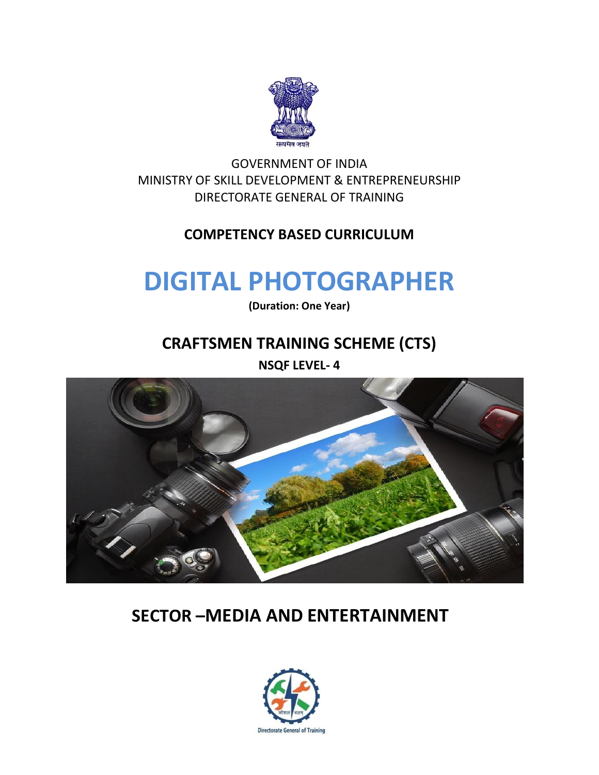

GOVERNMENT OF INDIA MINISTRY OF SKILL DEVELOPMENT & ENTREPRENEURSHIP DIRECTORATE GENERAL OF TRAINING

## **COMPETENCY BASED CURRICULUM**

# **DIGITAL PHOTOGRAPHER**

**(Duration: One Year)**

## **CRAFTSMEN TRAINING SCHEME (CTS)**

**NSQF LEVEL- 4**



## **SECTOR –MEDIA AND ENTERTAINMENT**

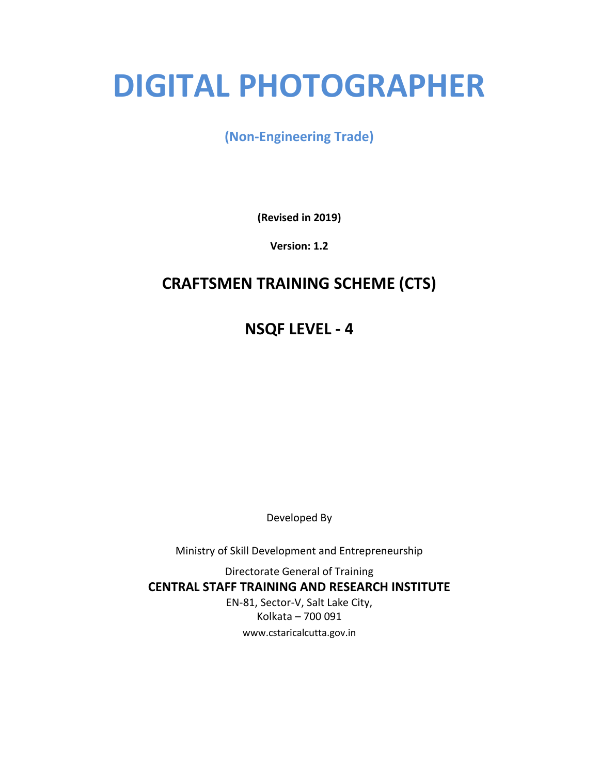# **DIGITAL PHOTOGRAPHER**

## **(Non-Engineering Trade)**

**(Revised in 2019)**

**Version: 1.2**

## **CRAFTSMEN TRAINING SCHEME (CTS)**

**NSQF LEVEL - 4**

Developed By

Ministry of Skill Development and Entrepreneurship

Directorate General of Training **CENTRAL STAFF TRAINING AND RESEARCH INSTITUTE** EN-81, Sector-V, Salt Lake City, Kolkata – 700 091 www.cstaricalcutta.gov.in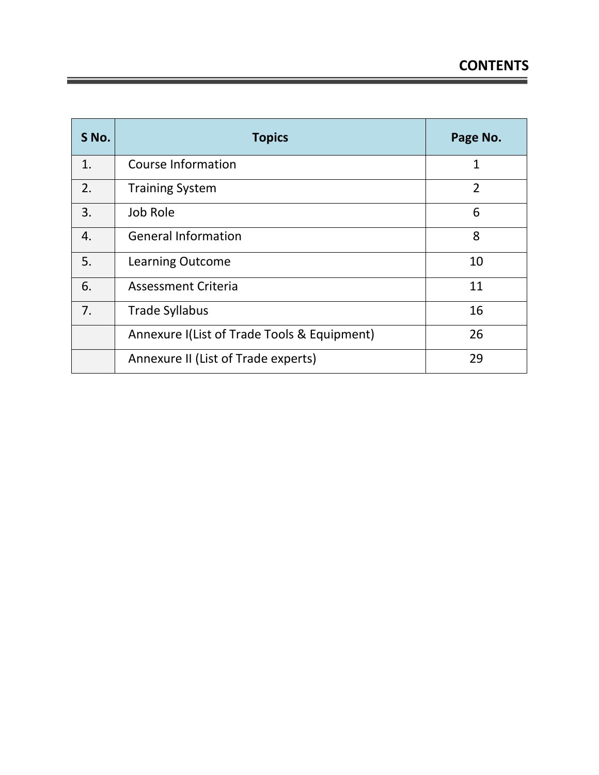| S No. | <b>Topics</b>                               | Page No.       |
|-------|---------------------------------------------|----------------|
| 1.    | Course Information                          | 1              |
| 2.    | <b>Training System</b>                      | $\overline{2}$ |
| 3.    | Job Role                                    | 6              |
| 4.    | <b>General Information</b>                  | 8              |
| 5.    | <b>Learning Outcome</b>                     | 10             |
| 6.    | <b>Assessment Criteria</b>                  | 11             |
| 7.    | <b>Trade Syllabus</b>                       | 16             |
|       | Annexure I(List of Trade Tools & Equipment) | 26             |
|       | Annexure II (List of Trade experts)         | 29             |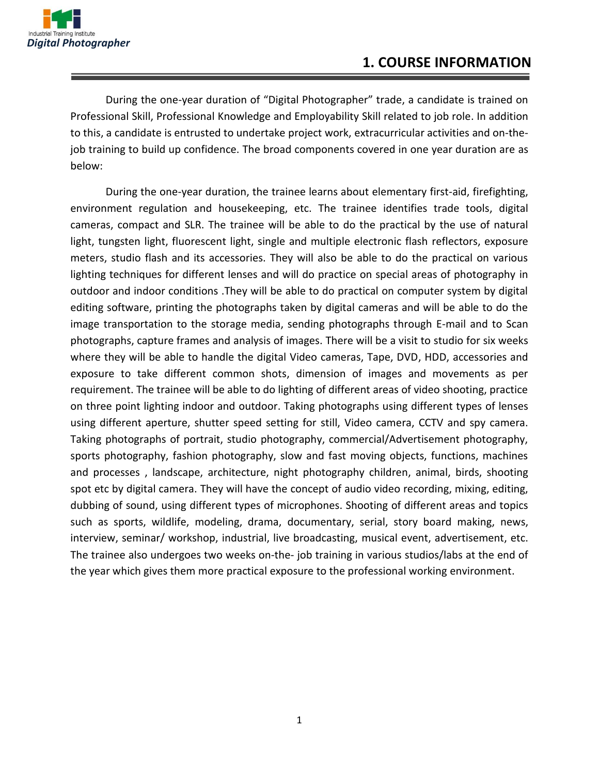

During the one-year duration of "Digital Photographer" trade, a candidate is trained on Professional Skill, Professional Knowledge and Employability Skill related to job role. In addition to this, a candidate is entrusted to undertake project work, extracurricular activities and on-thejob training to build up confidence. The broad components covered in one year duration are as below:

During the one-year duration, the trainee learns about elementary first-aid, firefighting, environment regulation and housekeeping, etc. The trainee identifies trade tools, digital cameras, compact and SLR. The trainee will be able to do the practical by the use of natural light, tungsten light, fluorescent light, single and multiple electronic flash reflectors, exposure meters, studio flash and its accessories. They will also be able to do the practical on various lighting techniques for different lenses and will do practice on special areas of photography in outdoor and indoor conditions .They will be able to do practical on computer system by digital editing software, printing the photographs taken by digital cameras and will be able to do the image transportation to the storage media, sending photographs through E-mail and to Scan photographs, capture frames and analysis of images. There will be a visit to studio for six weeks where they will be able to handle the digital Video cameras, Tape, DVD, HDD, accessories and exposure to take different common shots, dimension of images and movements as per requirement. The trainee will be able to do lighting of different areas of video shooting, practice on three point lighting indoor and outdoor. Taking photographs using different types of lenses using different aperture, shutter speed setting for still, Video camera, CCTV and spy camera. Taking photographs of portrait, studio photography, commercial/Advertisement photography, sports photography, fashion photography, slow and fast moving objects, functions, machines and processes , landscape, architecture, night photography children, animal, birds, shooting spot etc by digital camera. They will have the concept of audio video recording, mixing, editing, dubbing of sound, using different types of microphones. Shooting of different areas and topics such as sports, wildlife, modeling, drama, documentary, serial, story board making, news, interview, seminar/ workshop, industrial, live broadcasting, musical event, advertisement, etc. The trainee also undergoes two weeks on-the- job training in various studios/labs at the end of the year which gives them more practical exposure to the professional working environment.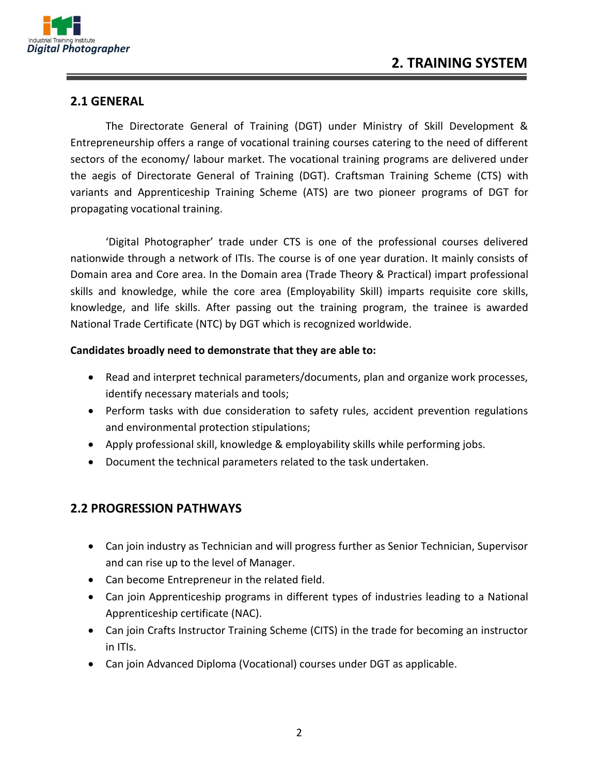

#### **2.1 GENERAL**

The Directorate General of Training (DGT) under Ministry of Skill Development & Entrepreneurship offers a range of vocational training courses catering to the need of different sectors of the economy/ labour market. The vocational training programs are delivered under the aegis of Directorate General of Training (DGT). Craftsman Training Scheme (CTS) with variants and Apprenticeship Training Scheme (ATS) are two pioneer programs of DGT for propagating vocational training.

'Digital Photographer' trade under CTS is one of the professional courses delivered nationwide through a network of ITIs. The course is of one year duration. It mainly consists of Domain area and Core area. In the Domain area (Trade Theory & Practical) impart professional skills and knowledge, while the core area (Employability Skill) imparts requisite core skills, knowledge, and life skills. After passing out the training program, the trainee is awarded National Trade Certificate (NTC) by DGT which is recognized worldwide.

#### **Candidates broadly need to demonstrate that they are able to:**

- Read and interpret technical parameters/documents, plan and organize work processes, identify necessary materials and tools;
- Perform tasks with due consideration to safety rules, accident prevention regulations and environmental protection stipulations;
- Apply professional skill, knowledge & employability skills while performing jobs.
- Document the technical parameters related to the task undertaken.

#### **2.2 PROGRESSION PATHWAYS**

- Can join industry as Technician and will progress further as Senior Technician, Supervisor and can rise up to the level of Manager.
- Can become Entrepreneur in the related field.
- Can join Apprenticeship programs in different types of industries leading to a National Apprenticeship certificate (NAC).
- Can join Crafts Instructor Training Scheme (CITS) in the trade for becoming an instructor in ITIs.
- Can join Advanced Diploma (Vocational) courses under DGT as applicable.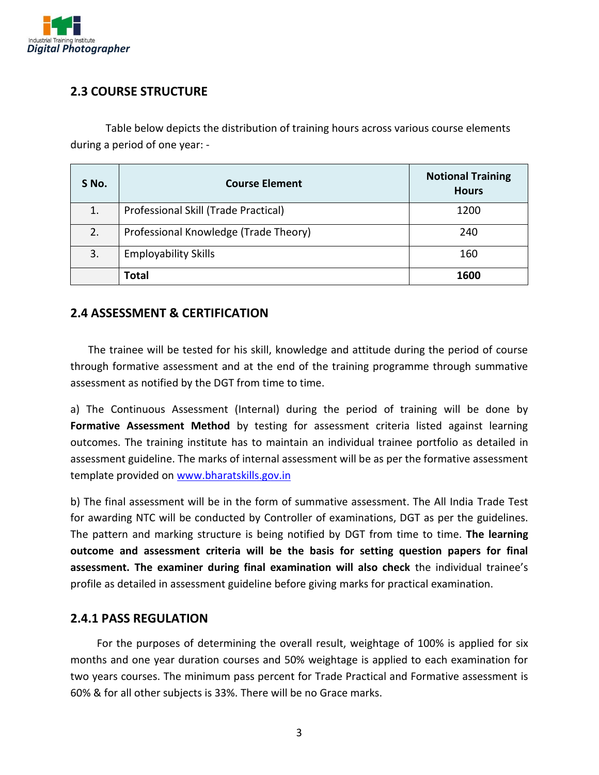

#### **2.3 COURSE STRUCTURE**

Table below depicts the distribution of training hours across various course elements during a period of one year: -

| S No. | <b>Course Element</b>                 | <b>Notional Training</b><br><b>Hours</b> |
|-------|---------------------------------------|------------------------------------------|
| 1.    | Professional Skill (Trade Practical)  | 1200                                     |
| 2.    | Professional Knowledge (Trade Theory) | 240                                      |
| 3.    | <b>Employability Skills</b>           | 160                                      |
|       | Total                                 | 1600                                     |

#### **2.4 ASSESSMENT & CERTIFICATION**

The trainee will be tested for his skill, knowledge and attitude during the period of course through formative assessment and at the end of the training programme through summative assessment as notified by the DGT from time to time.

a) The Continuous Assessment (Internal) during the period of training will be done by **Formative Assessment Method** by testing for assessment criteria listed against learning outcomes. The training institute has to maintain an individual trainee portfolio as detailed in assessment guideline. The marks of internal assessment will be as per the formative assessment template provided on [www.bharatskills.gov.in](http://www.bharatskills.gov.in/)

b) The final assessment will be in the form of summative assessment. The All India Trade Test for awarding NTC will be conducted by Controller of examinations, DGT as per the guidelines. The pattern and marking structure is being notified by DGT from time to time. **The learning outcome and assessment criteria will be the basis for setting question papers for final assessment. The examiner during final examination will also check** the individual trainee's profile as detailed in assessment guideline before giving marks for practical examination.

#### **2.4.1 PASS REGULATION**

For the purposes of determining the overall result, weightage of 100% is applied for six months and one year duration courses and 50% weightage is applied to each examination for two years courses. The minimum pass percent for Trade Practical and Formative assessment is 60% & for all other subjects is 33%. There will be no Grace marks.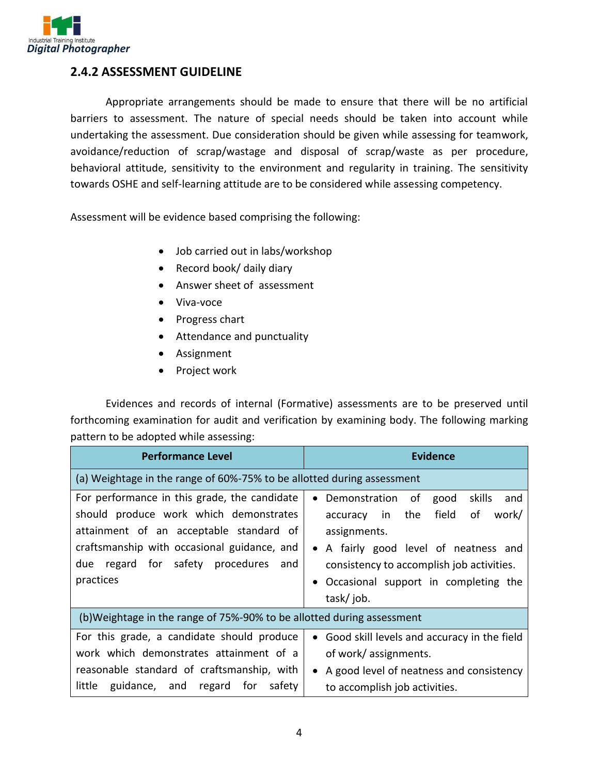

#### **2.4.2 ASSESSMENT GUIDELINE**

Appropriate arrangements should be made to ensure that there will be no artificial barriers to assessment. The nature of special needs should be taken into account while undertaking the assessment. Due consideration should be given while assessing for teamwork, avoidance/reduction of scrap/wastage and disposal of scrap/waste as per procedure, behavioral attitude, sensitivity to the environment and regularity in training. The sensitivity towards OSHE and self-learning attitude are to be considered while assessing competency.

Assessment will be evidence based comprising the following:

- Job carried out in labs/workshop
- Record book/ daily diary
- Answer sheet of assessment
- Viva-voce
- Progress chart
- Attendance and punctuality
- Assignment
- Project work

Evidences and records of internal (Formative) assessments are to be preserved until forthcoming examination for audit and verification by examining body. The following marking pattern to be adopted while assessing:

| <b>Performance Level</b>                                                                                                                                                                                                                    | Evidence                                                                                                                                                                                                                                                |  |  |
|---------------------------------------------------------------------------------------------------------------------------------------------------------------------------------------------------------------------------------------------|---------------------------------------------------------------------------------------------------------------------------------------------------------------------------------------------------------------------------------------------------------|--|--|
| (a) Weightage in the range of 60%-75% to be allotted during assessment                                                                                                                                                                      |                                                                                                                                                                                                                                                         |  |  |
| For performance in this grade, the candidate<br>should produce work which demonstrates<br>attainment of an acceptable standard of<br>craftsmanship with occasional guidance, and<br>due<br>regard for safety procedures<br>and<br>practices | • Demonstration of<br>good<br>skills<br>and<br>the<br>field<br>οf<br>work/<br>in<br>accuracy<br>assignments.<br>• A fairly good level of neatness and<br>consistency to accomplish job activities.<br>Occasional support in completing the<br>task/job. |  |  |
| (b) Weightage in the range of 75%-90% to be allotted during assessment                                                                                                                                                                      |                                                                                                                                                                                                                                                         |  |  |
| For this grade, a candidate should produce<br>work which demonstrates attainment of a<br>reasonable standard of craftsmanship, with<br>little<br>guidance, and regard<br>for<br>safety                                                      | • Good skill levels and accuracy in the field<br>of work/ assignments.<br>• A good level of neatness and consistency<br>to accomplish job activities.                                                                                                   |  |  |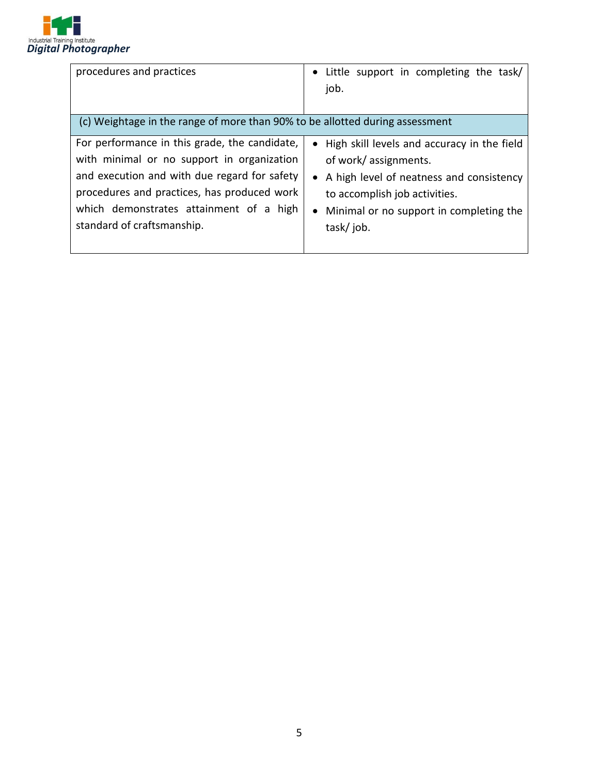

| procedures and practices                                                                                                                                                                                                                                            | • Little support in completing the task/<br>job.                                                                                                                                                               |
|---------------------------------------------------------------------------------------------------------------------------------------------------------------------------------------------------------------------------------------------------------------------|----------------------------------------------------------------------------------------------------------------------------------------------------------------------------------------------------------------|
| (c) Weightage in the range of more than 90% to be allotted during assessment                                                                                                                                                                                        |                                                                                                                                                                                                                |
| For performance in this grade, the candidate,<br>with minimal or no support in organization<br>and execution and with due regard for safety<br>procedures and practices, has produced work<br>which demonstrates attainment of a high<br>standard of craftsmanship. | • High skill levels and accuracy in the field<br>of work/assignments.<br>• A high level of neatness and consistency<br>to accomplish job activities.<br>• Minimal or no support in completing the<br>task/job. |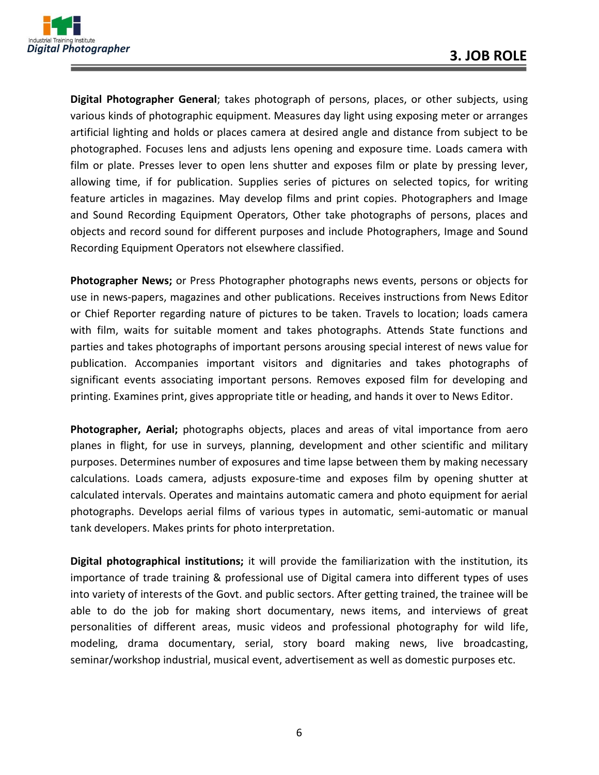

**Digital Photographer General**; takes photograph of persons, places, or other subjects, using various kinds of photographic equipment. Measures day light using exposing meter or arranges artificial lighting and holds or places camera at desired angle and distance from subject to be photographed. Focuses lens and adjusts lens opening and exposure time. Loads camera with film or plate. Presses lever to open lens shutter and exposes film or plate by pressing lever, allowing time, if for publication. Supplies series of pictures on selected topics, for writing feature articles in magazines. May develop films and print copies. Photographers and Image and Sound Recording Equipment Operators, Other take photographs of persons, places and objects and record sound for different purposes and include Photographers, Image and Sound Recording Equipment Operators not elsewhere classified.

**Photographer News;** or Press Photographer photographs news events, persons or objects for use in news-papers, magazines and other publications. Receives instructions from News Editor or Chief Reporter regarding nature of pictures to be taken. Travels to location; loads camera with film, waits for suitable moment and takes photographs. Attends State functions and parties and takes photographs of important persons arousing special interest of news value for publication. Accompanies important visitors and dignitaries and takes photographs of significant events associating important persons. Removes exposed film for developing and printing. Examines print, gives appropriate title or heading, and hands it over to News Editor.

**Photographer, Aerial;** photographs objects, places and areas of vital importance from aero planes in flight, for use in surveys, planning, development and other scientific and military purposes. Determines number of exposures and time lapse between them by making necessary calculations. Loads camera, adjusts exposure-time and exposes film by opening shutter at calculated intervals. Operates and maintains automatic camera and photo equipment for aerial photographs. Develops aerial films of various types in automatic, semi-automatic or manual tank developers. Makes prints for photo interpretation.

**Digital photographical institutions;** it will provide the familiarization with the institution, its importance of trade training & professional use of Digital camera into different types of uses into variety of interests of the Govt. and public sectors. After getting trained, the trainee will be able to do the job for making short documentary, news items, and interviews of great personalities of different areas, music videos and professional photography for wild life, modeling, drama documentary, serial, story board making news, live broadcasting, seminar/workshop industrial, musical event, advertisement as well as domestic purposes etc.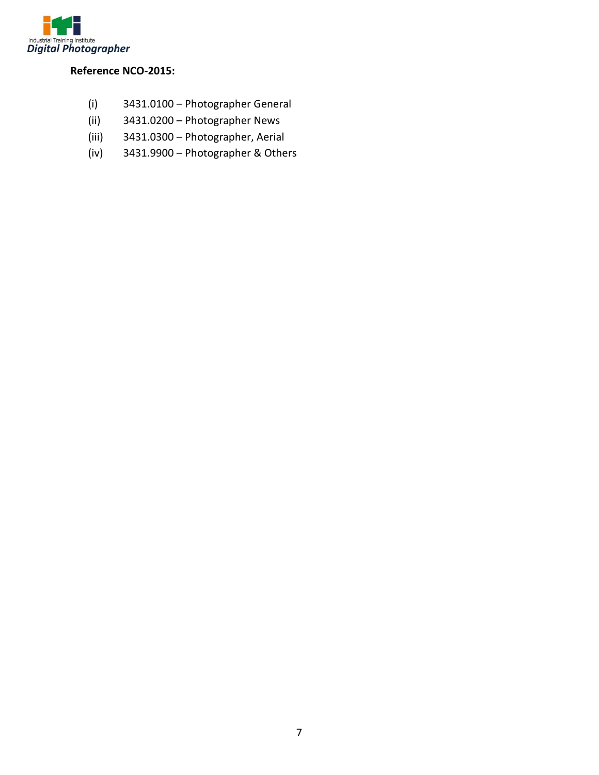

#### **Reference NCO-2015:**

- (i) 3431.0100 Photographer General
- (ii) 3431.0200 Photographer News
- (iii) 3431.0300 Photographer, Aerial
- (iv) 3431.9900 Photographer & Others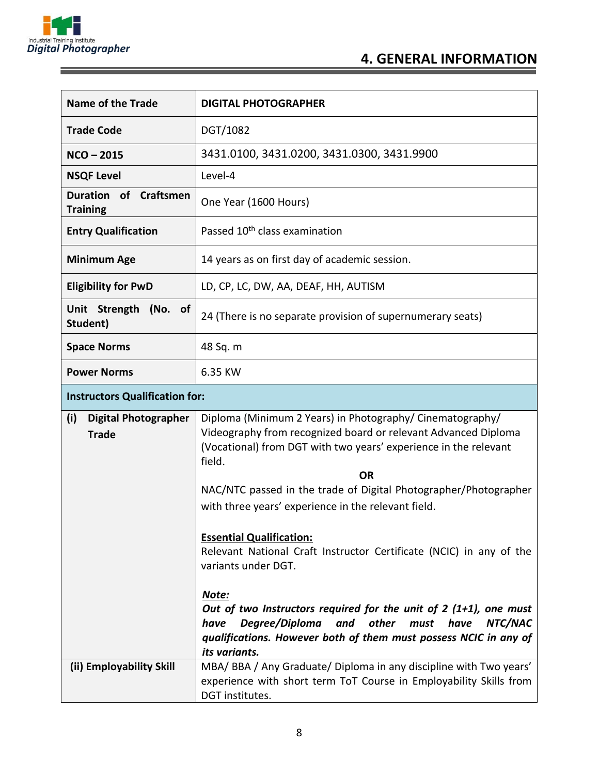

<u> The Common Service Common Service Common Service Common Service Common Service Common Service Common Service</u>

Ξ

| <b>Name of the Trade</b>                           | <b>DIGITAL PHOTOGRAPHER</b>                                                                                                                                                                                                         |  |  |
|----------------------------------------------------|-------------------------------------------------------------------------------------------------------------------------------------------------------------------------------------------------------------------------------------|--|--|
| <b>Trade Code</b>                                  | DGT/1082                                                                                                                                                                                                                            |  |  |
| $NCO - 2015$                                       | 3431.0100, 3431.0200, 3431.0300, 3431.9900                                                                                                                                                                                          |  |  |
| <b>NSQF Level</b>                                  | Level-4                                                                                                                                                                                                                             |  |  |
| of Craftsmen<br><b>Duration</b><br><b>Training</b> | One Year (1600 Hours)                                                                                                                                                                                                               |  |  |
| <b>Entry Qualification</b>                         | Passed 10 <sup>th</sup> class examination                                                                                                                                                                                           |  |  |
| <b>Minimum Age</b>                                 | 14 years as on first day of academic session.                                                                                                                                                                                       |  |  |
| <b>Eligibility for PwD</b>                         | LD, CP, LC, DW, AA, DEAF, HH, AUTISM                                                                                                                                                                                                |  |  |
| Unit Strength (No. of<br>Student)                  | 24 (There is no separate provision of supernumerary seats)                                                                                                                                                                          |  |  |
| <b>Space Norms</b>                                 | 48 Sq. m                                                                                                                                                                                                                            |  |  |
| <b>Power Norms</b>                                 | 6.35 KW                                                                                                                                                                                                                             |  |  |
| <b>Instructors Qualification for:</b>              |                                                                                                                                                                                                                                     |  |  |
| (i)<br><b>Digital Photographer</b><br><b>Trade</b> | Diploma (Minimum 2 Years) in Photography/ Cinematography/<br>Videography from recognized board or relevant Advanced Diploma<br>(Vocational) from DGT with two years' experience in the relevant<br>field.<br><b>OR</b>              |  |  |
|                                                    | NAC/NTC passed in the trade of Digital Photographer/Photographer<br>with three years' experience in the relevant field.                                                                                                             |  |  |
|                                                    | <b>Essential Qualification:</b><br>Relevant National Craft Instructor Certificate (NCIC) in any of the<br>variants under DGT.                                                                                                       |  |  |
|                                                    | Note:<br>Out of two Instructors required for the unit of $2(1+1)$ , one must<br>Degree/Diploma<br>and other<br>NTC/NAC<br>must<br>have<br>have<br>qualifications. However both of them must possess NCIC in any of<br>its variants. |  |  |
| (ii) Employability Skill                           | MBA/BBA/Any Graduate/Diploma in any discipline with Two years'<br>experience with short term ToT Course in Employability Skills from<br>DGT institutes.                                                                             |  |  |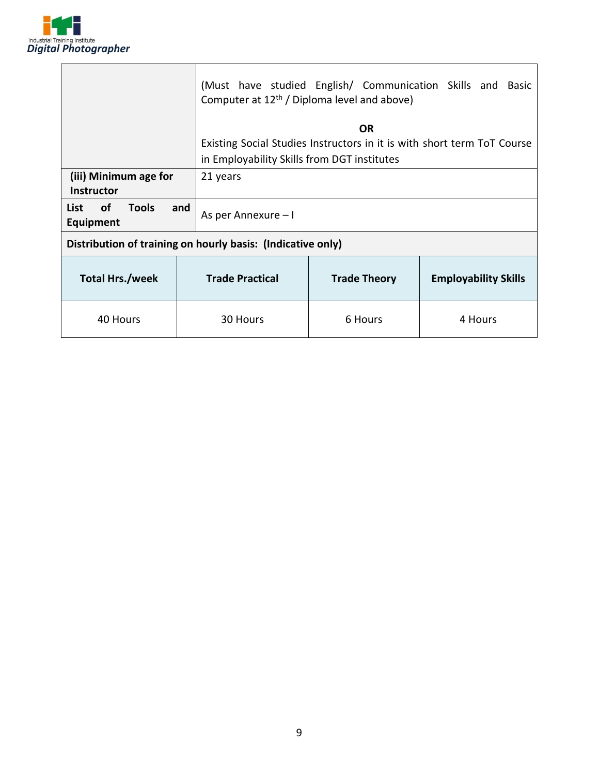

|                                                             | (Must have studied English/ Communication Skills and Basic<br>Computer at 12 <sup>th</sup> / Diploma level and above) |                                             |                                                                         |  |  |
|-------------------------------------------------------------|-----------------------------------------------------------------------------------------------------------------------|---------------------------------------------|-------------------------------------------------------------------------|--|--|
|                                                             |                                                                                                                       | OR.                                         |                                                                         |  |  |
|                                                             |                                                                                                                       |                                             | Existing Social Studies Instructors in it is with short term ToT Course |  |  |
|                                                             |                                                                                                                       | in Employability Skills from DGT institutes |                                                                         |  |  |
| (iii) Minimum age for                                       | 21 years                                                                                                              |                                             |                                                                         |  |  |
| <b>Instructor</b>                                           |                                                                                                                       |                                             |                                                                         |  |  |
| <b>Tools</b><br>οf<br>List<br>and<br><b>Equipment</b>       | As per Annexure - I                                                                                                   |                                             |                                                                         |  |  |
| Distribution of training on hourly basis: (Indicative only) |                                                                                                                       |                                             |                                                                         |  |  |
| <b>Total Hrs./week</b>                                      | <b>Trade Practical</b><br><b>Trade Theory</b>                                                                         |                                             | <b>Employability Skills</b>                                             |  |  |
| 40 Hours<br>30 Hours                                        |                                                                                                                       | 6 Hours                                     | 4 Hours                                                                 |  |  |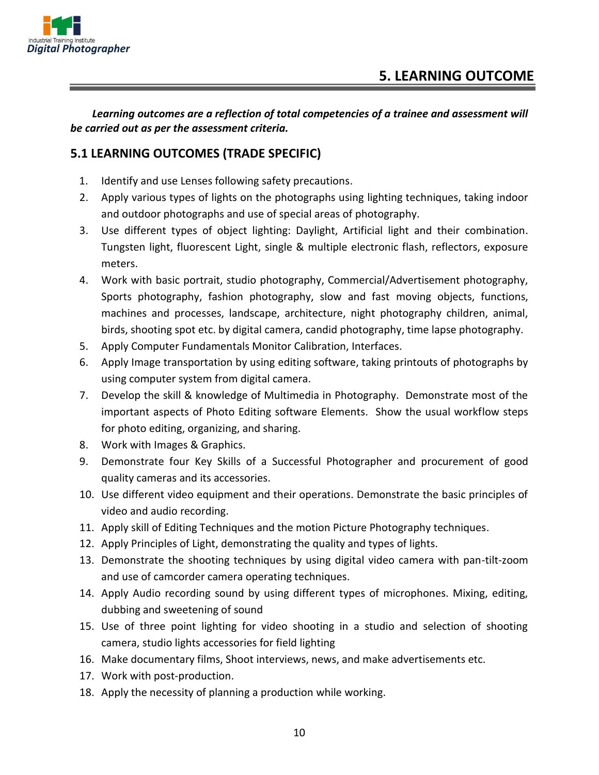

*Learning outcomes are a reflection of total competencies of a trainee and assessment will be carried out as per the assessment criteria.*

#### **5.1 LEARNING OUTCOMES (TRADE SPECIFIC)**

- 1. Identify and use Lenses following safety precautions.
- 2. Apply various types of lights on the photographs using lighting techniques, taking indoor and outdoor photographs and use of special areas of photography.
- 3. Use different types of object lighting: Daylight, Artificial light and their combination. Tungsten light, fluorescent Light, single & multiple electronic flash, reflectors, exposure meters.
- 4. Work with basic portrait, studio photography, Commercial/Advertisement photography, Sports photography, fashion photography, slow and fast moving objects, functions, machines and processes, landscape, architecture, night photography children, animal, birds, shooting spot etc. by digital camera, candid photography, time lapse photography.
- 5. Apply Computer Fundamentals Monitor Calibration, Interfaces.
- 6. Apply Image transportation by using editing software, taking printouts of photographs by using computer system from digital camera.
- 7. Develop the skill & knowledge of Multimedia in Photography. Demonstrate most of the important aspects of Photo Editing software Elements. Show the usual workflow steps for photo editing, organizing, and sharing.
- 8. Work with Images & Graphics.
- 9. Demonstrate four Key Skills of a Successful Photographer and procurement of good quality cameras and its accessories.
- 10. Use different video equipment and their operations. Demonstrate the basic principles of video and audio recording.
- 11. Apply skill of Editing Techniques and the motion Picture Photography techniques.
- 12. Apply Principles of Light, demonstrating the quality and types of lights.
- 13. Demonstrate the shooting techniques by using digital video camera with pan-tilt-zoom and use of camcorder camera operating techniques.
- 14. Apply Audio recording sound by using different types of microphones. Mixing, editing, dubbing and sweetening of sound
- 15. Use of three point lighting for video shooting in a studio and selection of shooting camera, studio lights accessories for field lighting
- 16. Make documentary films, Shoot interviews, news, and make advertisements etc.
- 17. Work with post-production.
- 18. Apply the necessity of planning a production while working.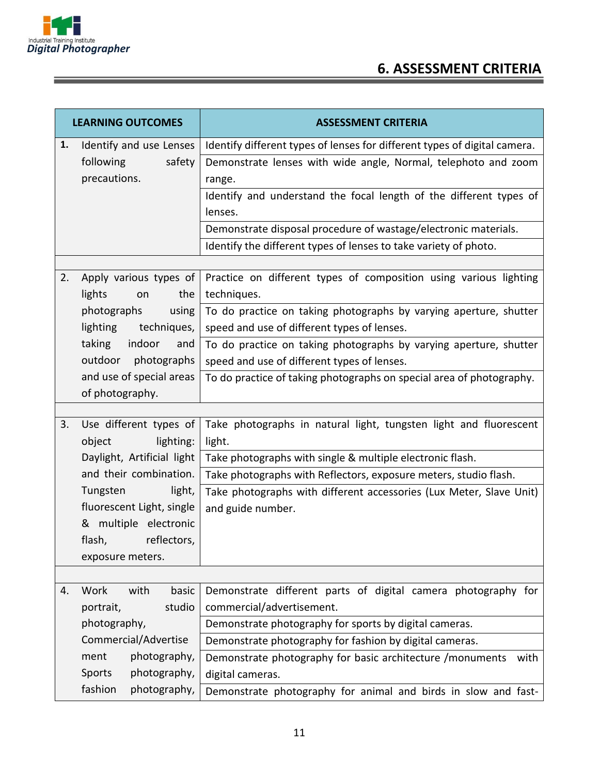

÷

<u> 1989 - Johann Stein, marwolaethau a bh</u>

## **6. ASSESSMENT CRITERIA**

| <b>LEARNING OUTCOMES</b> |                            | <b>ASSESSMENT CRITERIA</b>                                                |  |  |
|--------------------------|----------------------------|---------------------------------------------------------------------------|--|--|
| 1.                       | Identify and use Lenses    | Identify different types of lenses for different types of digital camera. |  |  |
|                          | following<br>safety        | Demonstrate lenses with wide angle, Normal, telephoto and zoom            |  |  |
|                          | precautions.               | range.                                                                    |  |  |
|                          |                            | Identify and understand the focal length of the different types of        |  |  |
|                          |                            | lenses.                                                                   |  |  |
|                          |                            | Demonstrate disposal procedure of wastage/electronic materials.           |  |  |
|                          |                            | Identify the different types of lenses to take variety of photo.          |  |  |
|                          |                            |                                                                           |  |  |
| 2.                       | Apply various types of     | Practice on different types of composition using various lighting         |  |  |
|                          | lights<br>the<br>on        | techniques.                                                               |  |  |
|                          | photographs<br>using       | To do practice on taking photographs by varying aperture, shutter         |  |  |
|                          | lighting<br>techniques,    | speed and use of different types of lenses.                               |  |  |
|                          | indoor<br>taking<br>and    | To do practice on taking photographs by varying aperture, shutter         |  |  |
|                          | photographs<br>outdoor     | speed and use of different types of lenses.                               |  |  |
|                          | and use of special areas   | To do practice of taking photographs on special area of photography.      |  |  |
|                          | of photography.            |                                                                           |  |  |
| 3.                       | Use different types of     | Take photographs in natural light, tungsten light and fluorescent         |  |  |
|                          | lighting:<br>object        | light.                                                                    |  |  |
|                          | Daylight, Artificial light | Take photographs with single & multiple electronic flash.                 |  |  |
|                          | and their combination.     | Take photographs with Reflectors, exposure meters, studio flash.          |  |  |
|                          | light,<br>Tungsten         | Take photographs with different accessories (Lux Meter, Slave Unit)       |  |  |
|                          | fluorescent Light, single  | and guide number.                                                         |  |  |
|                          | & multiple electronic      |                                                                           |  |  |
|                          | flash,<br>reflectors,      |                                                                           |  |  |
|                          | exposure meters.           |                                                                           |  |  |
|                          |                            |                                                                           |  |  |
| 4.                       | Work<br>with<br>basic      | Demonstrate different parts of digital camera photography for             |  |  |
|                          | studio<br>portrait,        | commercial/advertisement.                                                 |  |  |
|                          | photography,               | Demonstrate photography for sports by digital cameras.                    |  |  |
|                          | Commercial/Advertise       | Demonstrate photography for fashion by digital cameras.                   |  |  |
|                          | photography,<br>ment       | Demonstrate photography for basic architecture / monuments<br>with        |  |  |
|                          | photography,<br>Sports     | digital cameras.                                                          |  |  |
|                          | fashion<br>photography,    | Demonstrate photography for animal and birds in slow and fast-            |  |  |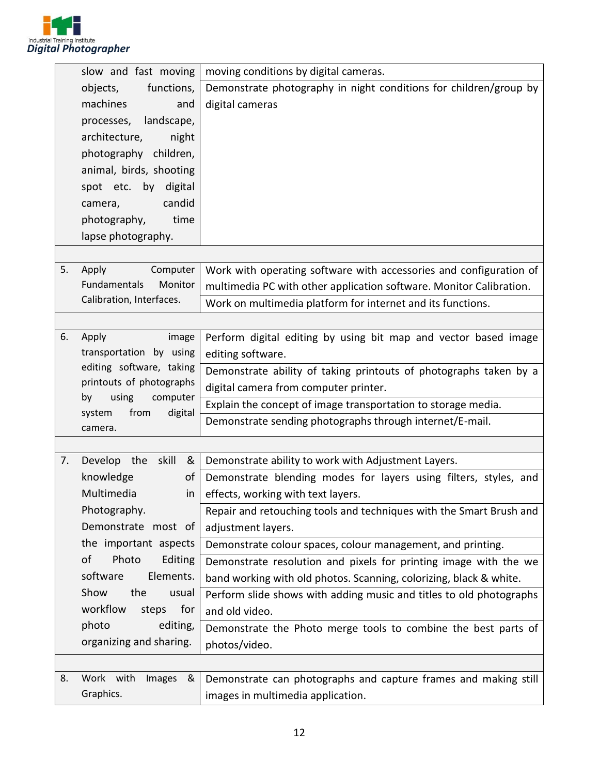

|    | slow and fast moving                                 | moving conditions by digital cameras.                               |  |  |
|----|------------------------------------------------------|---------------------------------------------------------------------|--|--|
|    | functions,<br>objects,                               | Demonstrate photography in night conditions for children/group by   |  |  |
|    | machines<br>and                                      | digital cameras                                                     |  |  |
|    | landscape,<br>processes,                             |                                                                     |  |  |
|    | architecture,<br>night                               |                                                                     |  |  |
|    | photography children,                                |                                                                     |  |  |
|    | animal, birds, shooting                              |                                                                     |  |  |
|    | spot etc. by digital                                 |                                                                     |  |  |
|    | candid<br>camera,                                    |                                                                     |  |  |
|    | photography,<br>time                                 |                                                                     |  |  |
|    | lapse photography.                                   |                                                                     |  |  |
|    |                                                      |                                                                     |  |  |
| 5. | Apply<br>Computer                                    | Work with operating software with accessories and configuration of  |  |  |
|    | Fundamentals<br>Monitor                              | multimedia PC with other application software. Monitor Calibration. |  |  |
|    | Calibration, Interfaces.                             | Work on multimedia platform for internet and its functions.         |  |  |
|    |                                                      |                                                                     |  |  |
| 6. | Apply<br>image                                       | Perform digital editing by using bit map and vector based image     |  |  |
|    | transportation by using                              | editing software.                                                   |  |  |
|    | editing software, taking                             | Demonstrate ability of taking printouts of photographs taken by a   |  |  |
|    | printouts of photographs                             | digital camera from computer printer.                               |  |  |
|    | using<br>computer<br>by<br>from<br>digital<br>system | Explain the concept of image transportation to storage media.       |  |  |
|    | camera.                                              | Demonstrate sending photographs through internet/E-mail.            |  |  |
|    |                                                      |                                                                     |  |  |
| 7. | Develop the skill<br>&                               | Demonstrate ability to work with Adjustment Layers.                 |  |  |
|    | knowledge<br>οf                                      | Demonstrate blending modes for layers using filters, styles, and    |  |  |
|    | Multimedia<br>in                                     | effects, working with text layers.                                  |  |  |
|    | Photography.                                         | Repair and retouching tools and techniques with the Smart Brush and |  |  |
|    | Demonstrate most of                                  | adjustment layers.                                                  |  |  |
|    | the important aspects                                | Demonstrate colour spaces, colour management, and printing.         |  |  |
|    | of<br>Photo<br>Editing                               | Demonstrate resolution and pixels for printing image with the we    |  |  |
|    | software<br>Elements.                                | band working with old photos. Scanning, colorizing, black & white.  |  |  |
|    | the<br>Show<br>usual                                 | Perform slide shows with adding music and titles to old photographs |  |  |
|    | workflow<br>for<br>steps                             | and old video.                                                      |  |  |
|    | photo<br>editing,                                    | Demonstrate the Photo merge tools to combine the best parts of      |  |  |
|    | organizing and sharing.                              | photos/video.                                                       |  |  |
|    |                                                      |                                                                     |  |  |
| 8. | Work with<br>Images<br>&                             | Demonstrate can photographs and capture frames and making still     |  |  |
|    | Graphics.                                            | images in multimedia application.                                   |  |  |
|    |                                                      |                                                                     |  |  |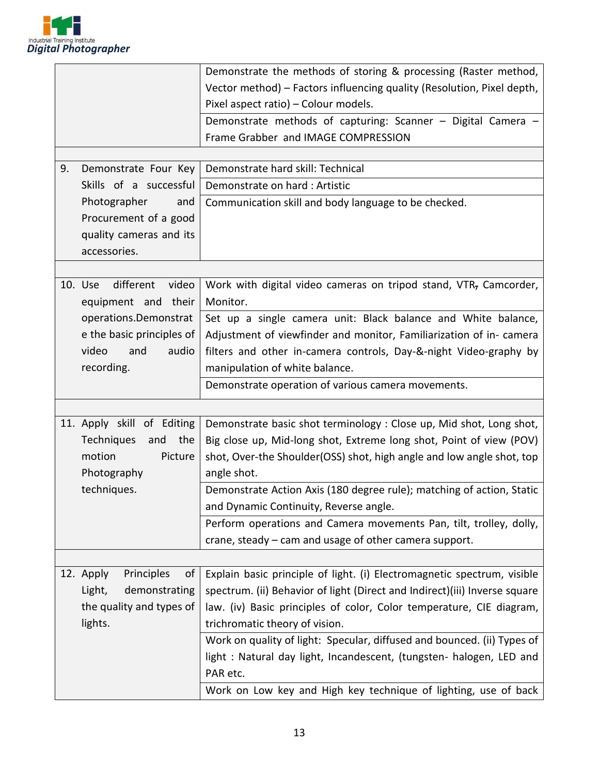

| 9.                                                                                         | Demonstrate Four Key                                 | Demonstrate the methods of storing & processing (Raster method,<br>Vector method) - Factors influencing quality (Resolution, Pixel depth,<br>Pixel aspect ratio) - Colour models.<br>Demonstrate methods of capturing: Scanner - Digital Camera -<br>Frame Grabber and IMAGE COMPRESSION<br>Demonstrate hard skill: Technical |
|--------------------------------------------------------------------------------------------|------------------------------------------------------|-------------------------------------------------------------------------------------------------------------------------------------------------------------------------------------------------------------------------------------------------------------------------------------------------------------------------------|
|                                                                                            | Skills of a successful                               | Demonstrate on hard: Artistic                                                                                                                                                                                                                                                                                                 |
| Photographer<br>and<br>Procurement of a good<br>quality cameras and its<br>accessories.    |                                                      | Communication skill and body language to be checked.                                                                                                                                                                                                                                                                          |
|                                                                                            |                                                      |                                                                                                                                                                                                                                                                                                                               |
|                                                                                            | different<br>video<br>10. Use<br>equipment and their | Work with digital video cameras on tripod stand, VTR, Camcorder,<br>Monitor.                                                                                                                                                                                                                                                  |
|                                                                                            | operations.Demonstrat                                | Set up a single camera unit: Black balance and White balance,                                                                                                                                                                                                                                                                 |
|                                                                                            | e the basic principles of                            | Adjustment of viewfinder and monitor, Familiarization of in-camera                                                                                                                                                                                                                                                            |
|                                                                                            | video<br>and<br>audio<br>recording.                  | filters and other in-camera controls, Day-&-night Video-graphy by<br>manipulation of white balance.                                                                                                                                                                                                                           |
|                                                                                            |                                                      | Demonstrate operation of various camera movements.                                                                                                                                                                                                                                                                            |
|                                                                                            |                                                      |                                                                                                                                                                                                                                                                                                                               |
| 11. Apply skill of Editing<br>Techniques<br>and<br>the<br>motion<br>Picture<br>Photography |                                                      | Demonstrate basic shot terminology : Close up, Mid shot, Long shot,<br>Big close up, Mid-long shot, Extreme long shot, Point of view (POV)<br>shot, Over-the Shoulder(OSS) shot, high angle and low angle shot, top<br>angle shot.                                                                                            |
|                                                                                            | techniques.                                          | Demonstrate Action Axis (180 degree rule); matching of action, Static<br>and Dynamic Continuity, Reverse angle.                                                                                                                                                                                                               |
|                                                                                            |                                                      | Perform operations and Camera movements Pan, tilt, trolley, dolly,                                                                                                                                                                                                                                                            |
|                                                                                            |                                                      | crane, steady – cam and usage of other camera support.                                                                                                                                                                                                                                                                        |
|                                                                                            | 12. Apply<br>Principles<br>οf                        | Explain basic principle of light. (i) Electromagnetic spectrum, visible                                                                                                                                                                                                                                                       |
|                                                                                            | Light,<br>demonstrating                              | spectrum. (ii) Behavior of light (Direct and Indirect)(iii) Inverse square                                                                                                                                                                                                                                                    |
|                                                                                            | the quality and types of                             | law. (iv) Basic principles of color, Color temperature, CIE diagram,                                                                                                                                                                                                                                                          |
|                                                                                            | lights.                                              | trichromatic theory of vision.                                                                                                                                                                                                                                                                                                |
|                                                                                            |                                                      | Work on quality of light: Specular, diffused and bounced. (ii) Types of                                                                                                                                                                                                                                                       |
|                                                                                            |                                                      | light: Natural day light, Incandescent, (tungsten- halogen, LED and<br>PAR etc.                                                                                                                                                                                                                                               |
|                                                                                            |                                                      | Work on Low key and High key technique of lighting, use of back                                                                                                                                                                                                                                                               |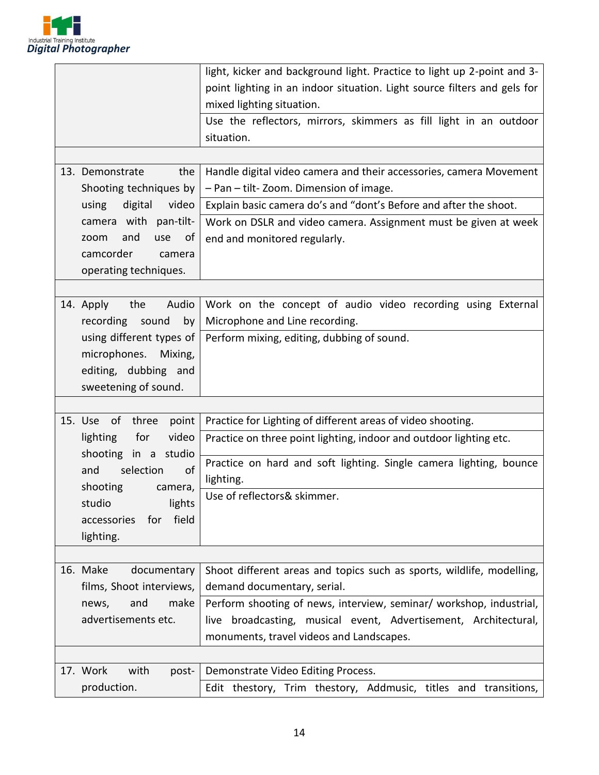

|  |                              | light, kicker and background light. Practice to light up 2-point and 3-  |  |  |
|--|------------------------------|--------------------------------------------------------------------------|--|--|
|  |                              | point lighting in an indoor situation. Light source filters and gels for |  |  |
|  |                              | mixed lighting situation.                                                |  |  |
|  |                              | Use the reflectors, mirrors, skimmers as fill light in an outdoor        |  |  |
|  |                              | situation.                                                               |  |  |
|  |                              |                                                                          |  |  |
|  | 13. Demonstrate<br>the       | Handle digital video camera and their accessories, camera Movement       |  |  |
|  | Shooting techniques by       | - Pan - tilt-Zoom. Dimension of image.                                   |  |  |
|  | using<br>digital<br>video    | Explain basic camera do's and "dont's Before and after the shoot.        |  |  |
|  | camera with pan-tilt-        | Work on DSLR and video camera. Assignment must be given at week          |  |  |
|  | and<br>use<br>zoom<br>0t     | end and monitored regularly.                                             |  |  |
|  | camcorder<br>camera          |                                                                          |  |  |
|  | operating techniques.        |                                                                          |  |  |
|  |                              |                                                                          |  |  |
|  | Audio<br>14. Apply<br>the    | Work on the concept of audio video recording using External              |  |  |
|  | recording<br>sound<br>by     | Microphone and Line recording.                                           |  |  |
|  | using different types of     | Perform mixing, editing, dubbing of sound.                               |  |  |
|  | microphones. Mixing,         |                                                                          |  |  |
|  | editing, dubbing and         |                                                                          |  |  |
|  | sweetening of sound.         |                                                                          |  |  |
|  |                              |                                                                          |  |  |
|  | point<br>15. Use of<br>three | Practice for Lighting of different areas of video shooting.              |  |  |
|  | video<br>lighting<br>for     | Practice on three point lighting, indoor and outdoor lighting etc.       |  |  |
|  | shooting in a studio         |                                                                          |  |  |
|  | of<br>and<br>selection       | Practice on hard and soft lighting. Single camera lighting, bounce       |  |  |
|  | shooting<br>camera,          | lighting.                                                                |  |  |
|  | lights<br>studio             | Use of reflectors& skimmer.                                              |  |  |
|  | field<br>accessories<br>for  |                                                                          |  |  |
|  | lighting.                    |                                                                          |  |  |
|  |                              |                                                                          |  |  |
|  | 16. Make<br>documentary      | Shoot different areas and topics such as sports, wildlife, modelling,    |  |  |
|  | films, Shoot interviews,     | demand documentary, serial.                                              |  |  |
|  | make<br>and<br>news,         | Perform shooting of news, interview, seminar/ workshop, industrial,      |  |  |
|  | advertisements etc.          | broadcasting, musical event, Advertisement, Architectural,<br>live       |  |  |
|  |                              | monuments, travel videos and Landscapes.                                 |  |  |
|  |                              |                                                                          |  |  |
|  |                              |                                                                          |  |  |
|  | 17. Work<br>with<br>post-    | Demonstrate Video Editing Process.                                       |  |  |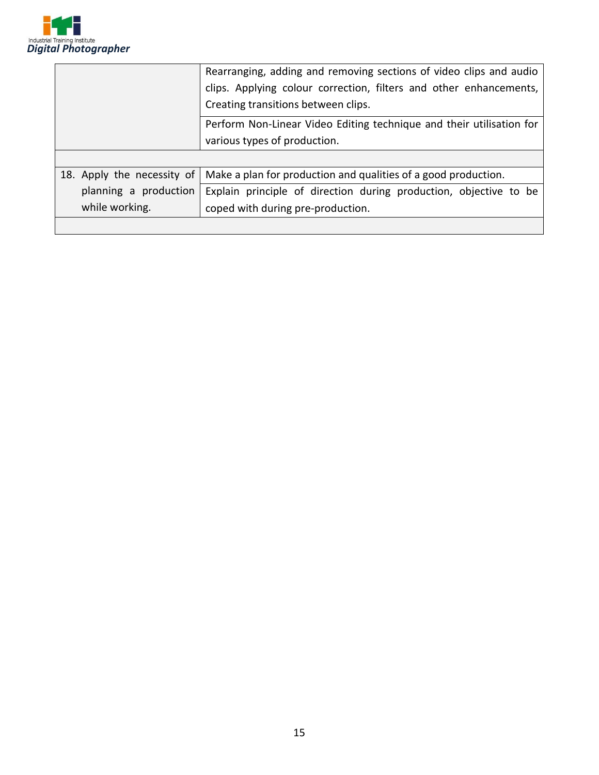

|                            | Rearranging, adding and removing sections of video clips and audio   |  |  |
|----------------------------|----------------------------------------------------------------------|--|--|
|                            | clips. Applying colour correction, filters and other enhancements,   |  |  |
|                            | Creating transitions between clips.                                  |  |  |
|                            | Perform Non-Linear Video Editing technique and their utilisation for |  |  |
|                            | various types of production.                                         |  |  |
|                            |                                                                      |  |  |
| 18. Apply the necessity of | Make a plan for production and qualities of a good production.       |  |  |
| planning a production      | Explain principle of direction during production, objective to be    |  |  |
| while working.             | coped with during pre-production.                                    |  |  |
|                            |                                                                      |  |  |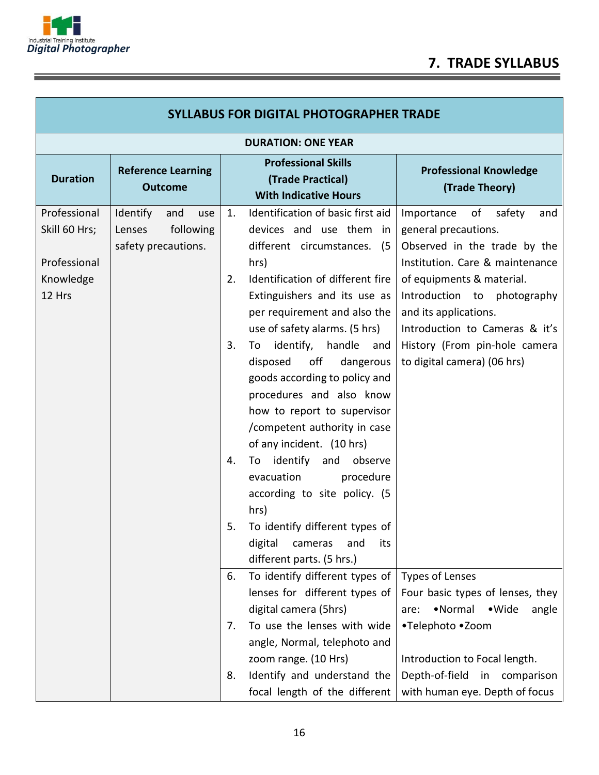

î

## **7. TRADE SYLLABUS**

| <b>SYLLABUS FOR DIGITAL PHOTOGRAPHER TRADE</b>                       |                                                                      |                            |                                                                                                                                                                                                                                                                                                                                                                                                                                                                                                                                                                                                                                                  |                                                                                                                                                                                                                                                                                                                     |  |  |
|----------------------------------------------------------------------|----------------------------------------------------------------------|----------------------------|--------------------------------------------------------------------------------------------------------------------------------------------------------------------------------------------------------------------------------------------------------------------------------------------------------------------------------------------------------------------------------------------------------------------------------------------------------------------------------------------------------------------------------------------------------------------------------------------------------------------------------------------------|---------------------------------------------------------------------------------------------------------------------------------------------------------------------------------------------------------------------------------------------------------------------------------------------------------------------|--|--|
|                                                                      | <b>DURATION: ONE YEAR</b>                                            |                            |                                                                                                                                                                                                                                                                                                                                                                                                                                                                                                                                                                                                                                                  |                                                                                                                                                                                                                                                                                                                     |  |  |
| <b>Duration</b>                                                      | <b>Reference Learning</b><br><b>Outcome</b>                          |                            | <b>Professional Skills</b><br>(Trade Practical)<br><b>With Indicative Hours</b>                                                                                                                                                                                                                                                                                                                                                                                                                                                                                                                                                                  | <b>Professional Knowledge</b><br>(Trade Theory)                                                                                                                                                                                                                                                                     |  |  |
| Professional<br>Skill 60 Hrs;<br>Professional<br>Knowledge<br>12 Hrs | Identify<br>and<br>use<br>following<br>Lenses<br>safety precautions. | 1.<br>2.<br>3.<br>4.<br>5. | Identification of basic first aid<br>devices and use them<br>in<br>different circumstances.<br>(5)<br>hrs)<br>Identification of different fire<br>Extinguishers and its use as<br>per requirement and also the<br>use of safety alarms. (5 hrs)<br>identify, handle<br>To<br>and<br>disposed<br>off<br>dangerous<br>goods according to policy and<br>procedures and also know<br>how to report to supervisor<br>/competent authority in case<br>of any incident. (10 hrs)<br>To identify and<br>observe<br>evacuation<br>procedure<br>according to site policy. (5<br>hrs)<br>To identify different types of<br>digital<br>cameras<br>and<br>its | Importance<br>of<br>safety<br>and<br>general precautions.<br>Observed in the trade by the<br>Institution. Care & maintenance<br>of equipments & material.<br>Introduction to photography<br>and its applications.<br>Introduction to Cameras & it's<br>History (From pin-hole camera<br>to digital camera) (06 hrs) |  |  |
|                                                                      |                                                                      | 6.                         | different parts. (5 hrs.)<br>To identify different types of<br>lenses for different types of                                                                                                                                                                                                                                                                                                                                                                                                                                                                                                                                                     | <b>Types of Lenses</b><br>Four basic types of lenses, they                                                                                                                                                                                                                                                          |  |  |
|                                                                      |                                                                      | 7.                         | digital camera (5hrs)<br>To use the lenses with wide<br>angle, Normal, telephoto and<br>zoom range. (10 Hrs)                                                                                                                                                                                                                                                                                                                                                                                                                                                                                                                                     | •Normal<br>•Wide<br>angle<br>are:<br>•Telephoto •Zoom<br>Introduction to Focal length.                                                                                                                                                                                                                              |  |  |
|                                                                      |                                                                      | 8.                         | Identify and understand the<br>focal length of the different                                                                                                                                                                                                                                                                                                                                                                                                                                                                                                                                                                                     | Depth-of-field<br>in comparison<br>with human eye. Depth of focus                                                                                                                                                                                                                                                   |  |  |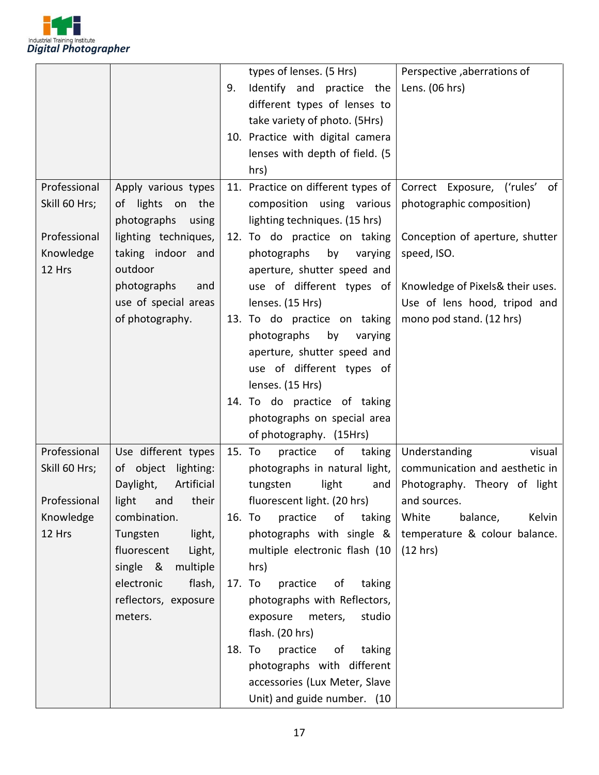

|               |                         |    | types of lenses. (5 Hrs)           | Perspective ,aberrations of      |
|---------------|-------------------------|----|------------------------------------|----------------------------------|
|               |                         | 9. | Identify and practice the          | Lens. (06 hrs)                   |
|               |                         |    | different types of lenses to       |                                  |
|               |                         |    | take variety of photo. (5Hrs)      |                                  |
|               |                         |    | 10. Practice with digital camera   |                                  |
|               |                         |    | lenses with depth of field. (5     |                                  |
|               |                         |    | hrs)                               |                                  |
| Professional  | Apply various types     |    | 11. Practice on different types of | Correct Exposure, ('rules' of    |
| Skill 60 Hrs; | of lights on the        |    | composition using various          | photographic composition)        |
|               | photographs using       |    | lighting techniques. (15 hrs)      |                                  |
| Professional  | lighting techniques,    |    | 12. To do practice on taking       | Conception of aperture, shutter  |
| Knowledge     | taking indoor and       |    | photographs<br>by<br>varying       | speed, ISO.                      |
| 12 Hrs        | outdoor                 |    | aperture, shutter speed and        |                                  |
|               | photographs<br>and      |    | use of different types of          | Knowledge of Pixels& their uses. |
|               | use of special areas    |    | lenses. (15 Hrs)                   | Use of lens hood, tripod and     |
|               | of photography.         |    | 13. To do practice on taking       | mono pod stand. (12 hrs)         |
|               |                         |    | photographs<br>by<br>varying       |                                  |
|               |                         |    | aperture, shutter speed and        |                                  |
|               |                         |    | use of different types of          |                                  |
|               |                         |    | lenses. (15 Hrs)                   |                                  |
|               |                         |    | 14. To do practice of taking       |                                  |
|               |                         |    | photographs on special area        |                                  |
|               |                         |    | of photography. (15Hrs)            |                                  |
| Professional  | Use different types     |    | 15. To<br>practice<br>of<br>taking | Understanding<br>visual          |
| Skill 60 Hrs; | of object lighting:     |    | photographs in natural light,      | communication and aesthetic in   |
|               | Artificial<br>Daylight, |    | light<br>tungsten<br>and           | Photography. Theory of light     |
| Professional  | light<br>and their      |    | fluorescent light. (20 hrs)        | and sources.                     |
| Knowledge     | combination.            |    | practice<br>16. To<br>of<br>taking | White<br>balance,<br>Kelvin      |
| 12 Hrs        | Tungsten<br>light,      |    | photographs with single &          | temperature & colour balance.    |
|               | fluorescent<br>Light,   |    | multiple electronic flash (10      | (12 hrs)                         |
|               | single &<br>multiple    |    | hrs)                               |                                  |
|               | electronic<br>flash,    |    | 17. To<br>practice<br>of<br>taking |                                  |
|               | reflectors, exposure    |    | photographs with Reflectors,       |                                  |
|               | meters.                 |    | exposure<br>meters,<br>studio      |                                  |
|               |                         |    | flash. (20 hrs)                    |                                  |
|               |                         |    | practice<br>18. To<br>taking<br>of |                                  |
|               |                         |    | photographs with different         |                                  |
|               |                         |    | accessories (Lux Meter, Slave      |                                  |
|               |                         |    | Unit) and guide number. (10        |                                  |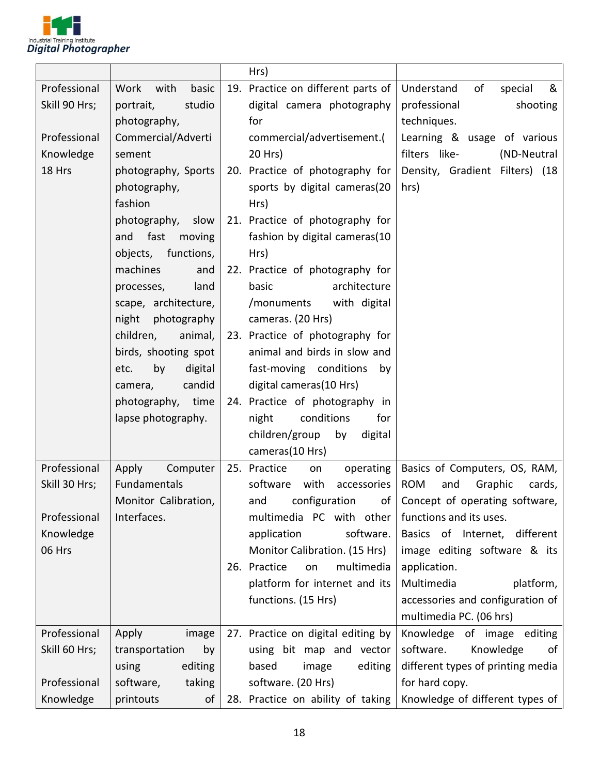

|               |                        | Hrs)                               |                                        |
|---------------|------------------------|------------------------------------|----------------------------------------|
| Professional  | Work<br>with<br>basic  | 19. Practice on different parts of | of<br>Understand<br>&<br>special       |
| Skill 90 Hrs; | portrait,<br>studio    | digital camera photography         | professional<br>shooting               |
|               | photography,           | for                                | techniques.                            |
| Professional  | Commercial/Adverti     | commercial/advertisement.(         | Learning & usage of various            |
| Knowledge     | sement                 | 20 Hrs)                            | filters like-<br>(ND-Neutral           |
| 18 Hrs        | photography, Sports    | 20. Practice of photography for    | Density, Gradient Filters) (18         |
|               | photography,           | sports by digital cameras(20       | hrs)                                   |
|               | fashion                | Hrs)                               |                                        |
|               | photography, slow      | 21. Practice of photography for    |                                        |
|               | and fast<br>moving     | fashion by digital cameras(10      |                                        |
|               | functions,<br>objects, | Hrs)                               |                                        |
|               | machines<br>and        | 22. Practice of photography for    |                                        |
|               | land<br>processes,     | basic<br>architecture              |                                        |
|               | scape, architecture,   | with digital<br>/monuments         |                                        |
|               | night photography      | cameras. (20 Hrs)                  |                                        |
|               | children,<br>animal,   | 23. Practice of photography for    |                                        |
|               | birds, shooting spot   | animal and birds in slow and       |                                        |
|               | by<br>digital<br>etc.  | fast-moving conditions<br>by       |                                        |
|               | candid<br>camera,      | digital cameras(10 Hrs)            |                                        |
|               | photography, time      | 24. Practice of photography in     |                                        |
|               | lapse photography.     | night<br>conditions<br>for         |                                        |
|               |                        | children/group<br>by<br>digital    |                                        |
|               |                        | cameras(10 Hrs)                    |                                        |
| Professional  | Computer<br>Apply      | 25. Practice<br>operating<br>on    | Basics of Computers, OS, RAM,          |
| Skill 30 Hrs; | Fundamentals           | software<br>with<br>accessories    | <b>ROM</b><br>Graphic<br>and<br>cards, |
|               | Monitor Calibration,   | configuration<br>and               | of   Concept of operating software,    |
| Professional  | Interfaces.            | multimedia PC with other           | functions and its uses.                |
| Knowledge     |                        | software.<br>application           | Basics of Internet, different          |
| 06 Hrs        |                        | Monitor Calibration. (15 Hrs)      | image editing software & its           |
|               |                        | 26. Practice<br>multimedia<br>on   | application.                           |
|               |                        | platform for internet and its      | Multimedia<br>platform,                |
|               |                        | functions. (15 Hrs)                | accessories and configuration of       |
|               |                        |                                    | multimedia PC. (06 hrs)                |
| Professional  | image<br>Apply         | 27. Practice on digital editing by | Knowledge of image editing             |
| Skill 60 Hrs; | transportation<br>by   | using bit map and vector           | software.<br>Knowledge<br>of           |
|               | editing<br>using       | based<br>image<br>editing          | different types of printing media      |
| Professional  | software,<br>taking    | software. (20 Hrs)                 | for hard copy.                         |
| Knowledge     | printouts<br>οf        | 28. Practice on ability of taking  | Knowledge of different types of        |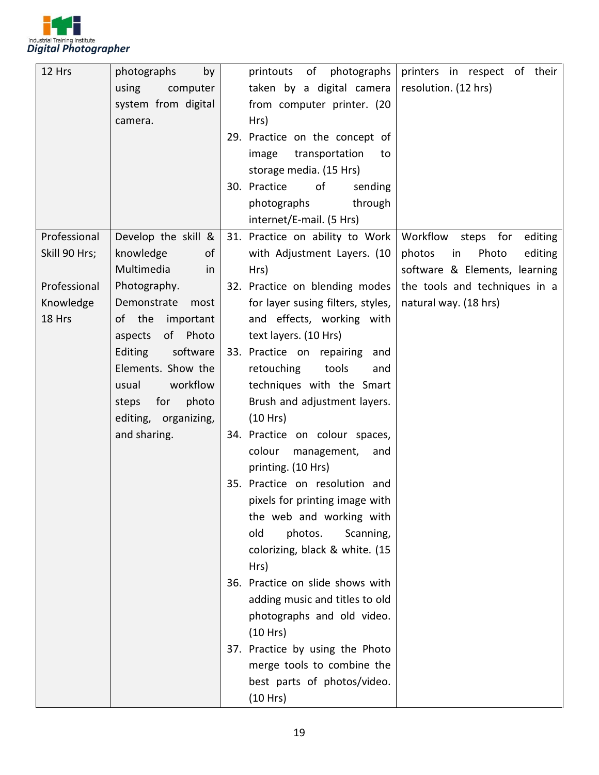

| 12 Hrs        | photographs<br>by     | printers in respect of their<br>of<br>photographs<br>printouts   |
|---------------|-----------------------|------------------------------------------------------------------|
|               | computer<br>using     | taken by a digital camera<br>resolution. (12 hrs)                |
|               | system from digital   | from computer printer. (20                                       |
|               | camera.               | Hrs)                                                             |
|               |                       | 29. Practice on the concept of                                   |
|               |                       | transportation<br>image<br>to                                    |
|               |                       | storage media. (15 Hrs)                                          |
|               |                       | 30. Practice<br>οf<br>sending                                    |
|               |                       | through<br>photographs                                           |
|               |                       | internet/E-mail. (5 Hrs)                                         |
| Professional  | Develop the skill &   | 31. Practice on ability to Work<br>Workflow steps for<br>editing |
| Skill 90 Hrs; | knowledge<br>of       | with Adjustment Layers. (10<br>photos<br>Photo<br>editing<br>in  |
|               | Multimedia<br>in      | software & Elements, learning<br>Hrs)                            |
| Professional  | Photography.          | 32. Practice on blending modes<br>the tools and techniques in a  |
| Knowledge     | Demonstrate<br>most   | for layer susing filters, styles,<br>natural way. (18 hrs)       |
| 18 Hrs        | of the<br>important   | and effects, working with                                        |
|               | of Photo<br>aspects   | text layers. (10 Hrs)                                            |
|               | software<br>Editing   | 33. Practice on repairing<br>and                                 |
|               | Elements. Show the    | retouching<br>tools<br>and                                       |
|               | workflow<br>usual     | techniques with the Smart                                        |
|               | for<br>photo<br>steps | Brush and adjustment layers.                                     |
|               | editing, organizing,  | (10 Hrs)                                                         |
|               | and sharing.          | 34. Practice on colour spaces,                                   |
|               |                       | colour<br>management,<br>and                                     |
|               |                       | printing. (10 Hrs)                                               |
|               |                       | 35. Practice on resolution and                                   |
|               |                       | pixels for printing image with                                   |
|               |                       | the web and working with                                         |
|               |                       | old<br>photos.<br>Scanning,                                      |
|               |                       | colorizing, black & white. (15                                   |
|               |                       | Hrs)                                                             |
|               |                       | 36. Practice on slide shows with                                 |
|               |                       | adding music and titles to old                                   |
|               |                       | photographs and old video.                                       |
|               |                       | (10 Hrs)                                                         |
|               |                       | 37. Practice by using the Photo                                  |
|               |                       | merge tools to combine the                                       |
|               |                       | best parts of photos/video.                                      |
|               |                       | (10 Hrs)                                                         |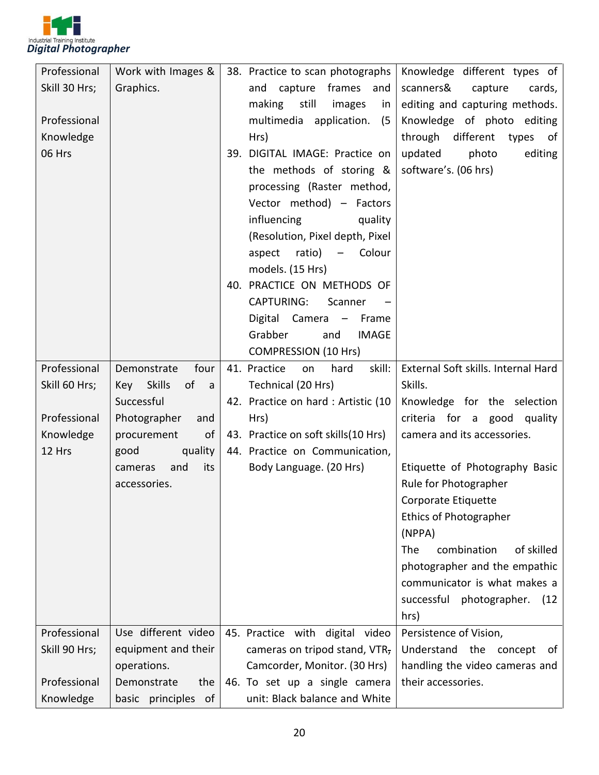

| Professional  | Work with Images &                 | 38. Practice to scan photographs<br>Knowledge different types of            |
|---------------|------------------------------------|-----------------------------------------------------------------------------|
| Skill 30 Hrs; | Graphics.                          | and<br>capture<br>frames<br>scanners&<br>capture<br>cards,<br>and           |
|               |                                    | editing and capturing methods.<br>making<br>still<br>images<br>in           |
| Professional  |                                    | multimedia application.<br>Knowledge of photo editing<br>(5)                |
| Knowledge     |                                    | Hrs)<br>through different types<br>of                                       |
| 06 Hrs        |                                    | 39. DIGITAL IMAGE: Practice on<br>updated<br>photo<br>editing               |
|               |                                    | the methods of storing &<br>software's. (06 hrs)                            |
|               |                                    | processing (Raster method,                                                  |
|               |                                    | Vector method) - Factors                                                    |
|               |                                    | influencing<br>quality                                                      |
|               |                                    | (Resolution, Pixel depth, Pixel                                             |
|               |                                    | ratio)<br>aspect<br>Colour<br>$-$                                           |
|               |                                    | models. (15 Hrs)                                                            |
|               |                                    | 40. PRACTICE ON METHODS OF                                                  |
|               |                                    | CAPTURING:<br>Scanner                                                       |
|               |                                    | Digital Camera - Frame                                                      |
|               |                                    | Grabber<br><b>IMAGE</b><br>and                                              |
|               |                                    | <b>COMPRESSION (10 Hrs)</b>                                                 |
| Professional  | Demonstrate<br>four                | 41. Practice<br>skill:<br>External Soft skills. Internal Hard<br>hard<br>on |
| Skill 60 Hrs; | Key Skills<br>of<br>$\overline{a}$ | Skills.<br>Technical (20 Hrs)                                               |
|               | Successful                         | 42. Practice on hard: Artistic (10<br>Knowledge for the selection           |
| Professional  | Photographer<br>and                | criteria for a good quality<br>Hrs)                                         |
| Knowledge     | procurement<br>of                  | 43. Practice on soft skills (10 Hrs)<br>camera and its accessories.         |
| 12 Hrs        | quality<br>good                    | 44. Practice on Communication,                                              |
|               | and<br>its<br>cameras              | Body Language. (20 Hrs)<br>Etiquette of Photography Basic                   |
|               | accessories.                       | Rule for Photographer                                                       |
|               |                                    | Corporate Etiquette                                                         |
|               |                                    | <b>Ethics of Photographer</b>                                               |
|               |                                    | (NPPA)                                                                      |
|               |                                    | of skilled<br>The<br>combination                                            |
|               |                                    | photographer and the empathic                                               |
|               |                                    | communicator is what makes a                                                |
|               |                                    | successful<br>photographer.<br>(12)                                         |
|               |                                    | hrs)                                                                        |
| Professional  | Use different video                | 45. Practice with digital video<br>Persistence of Vision,                   |
| Skill 90 Hrs; | equipment and their                | cameras on tripod stand, VTR,<br>Understand the concept<br>of .             |
|               | operations.                        | Camcorder, Monitor. (30 Hrs)<br>handling the video cameras and              |
| Professional  | Demonstrate<br>the                 | 46. To set up a single camera<br>their accessories.                         |
| Knowledge     | basic principles of                | unit: Black balance and White                                               |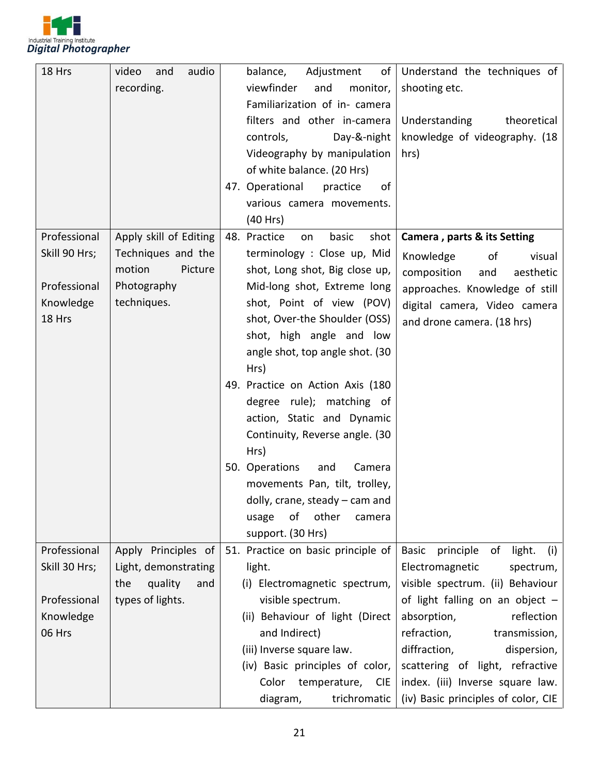

| 18 Hrs        | audio<br>video<br>and  | balance,<br>Adjustment<br>of        | Understand the techniques of                     |
|---------------|------------------------|-------------------------------------|--------------------------------------------------|
|               | recording.             | viewfinder<br>and<br>monitor,       | shooting etc.                                    |
|               |                        | Familiarization of in- camera       |                                                  |
|               |                        | filters and other in-camera         | Understanding<br>theoretical                     |
|               |                        | controls,<br>Day-&-night            | knowledge of videography. (18                    |
|               |                        | Videography by manipulation         | hrs)                                             |
|               |                        | of white balance. (20 Hrs)          |                                                  |
|               |                        | 47. Operational<br>practice<br>of   |                                                  |
|               |                        | various camera movements.           |                                                  |
|               |                        | (40 Hrs)                            |                                                  |
| Professional  | Apply skill of Editing | 48. Practice<br>basic<br>shot<br>on | Camera, parts & its Setting                      |
| Skill 90 Hrs; | Techniques and the     | terminology : Close up, Mid         | Knowledge<br>of<br>visual                        |
|               | motion<br>Picture      | shot, Long shot, Big close up,      | composition<br>and<br>aesthetic                  |
| Professional  | Photography            | Mid-long shot, Extreme long         | approaches. Knowledge of still                   |
| Knowledge     | techniques.            | shot, Point of view (POV)           | digital camera, Video camera                     |
| 18 Hrs        |                        | shot, Over-the Shoulder (OSS)       | and drone camera. (18 hrs)                       |
|               |                        | shot, high angle and low            |                                                  |
|               |                        | angle shot, top angle shot. (30     |                                                  |
|               |                        | Hrs)                                |                                                  |
|               |                        | 49. Practice on Action Axis (180    |                                                  |
|               |                        | degree rule); matching of           |                                                  |
|               |                        | action, Static and Dynamic          |                                                  |
|               |                        | Continuity, Reverse angle. (30      |                                                  |
|               |                        | Hrs)                                |                                                  |
|               |                        | 50. Operations<br>and<br>Camera     |                                                  |
|               |                        | movements Pan, tilt, trolley,       |                                                  |
|               |                        | $d$ olly, crane, steady $-$ cam and |                                                  |
|               |                        | of<br>other<br>usage<br>camera      |                                                  |
|               |                        | support. (30 Hrs)                   |                                                  |
| Professional  | Apply Principles of    | 51. Practice on basic principle of  | <b>Basic</b><br>principle<br>of<br>light.<br>(i) |
| Skill 30 Hrs; | Light, demonstrating   | light.                              | Electromagnetic<br>spectrum,                     |
|               | quality<br>the<br>and  | (i) Electromagnetic spectrum,       | visible spectrum. (ii) Behaviour                 |
| Professional  | types of lights.       | visible spectrum.                   | of light falling on an object $-$                |
| Knowledge     |                        | (ii) Behaviour of light (Direct     | reflection<br>absorption,                        |
| 06 Hrs        |                        | and Indirect)                       | refraction,<br>transmission,                     |
|               |                        | (iii) Inverse square law.           | diffraction,<br>dispersion,                      |
|               |                        | (iv) Basic principles of color,     | scattering of light, refractive                  |
|               |                        | Color<br>temperature, CIE           | index. (iii) Inverse square law.                 |
|               |                        | trichromatic<br>diagram,            | (iv) Basic principles of color, CIE              |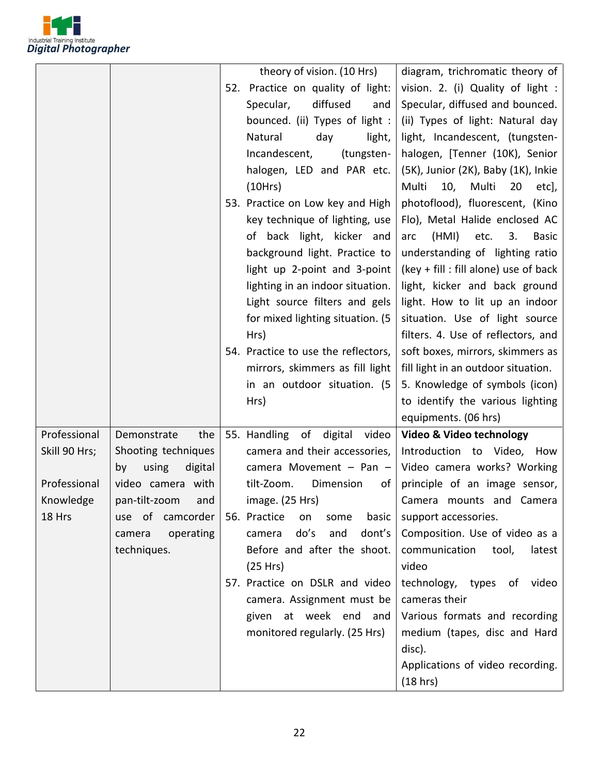

|               |                        | theory of vision. (10 Hrs)          | diagram, trichromatic theory of            |
|---------------|------------------------|-------------------------------------|--------------------------------------------|
|               |                        | 52. Practice on quality of light:   | vision. 2. (i) Quality of light :          |
|               |                        | diffused<br>Specular,<br>and        | Specular, diffused and bounced.            |
|               |                        | bounced. (ii) Types of light :      | (ii) Types of light: Natural day           |
|               |                        | Natural<br>day<br>light,            | light, Incandescent, (tungsten-            |
|               |                        | Incandescent,<br>(tungsten-         | halogen, [Tenner (10K), Senior             |
|               |                        | halogen, LED and PAR etc.           | (5K), Junior (2K), Baby (1K), Inkie        |
|               |                        | (10Hrs)                             | Multi<br>10,<br>Multi<br>20<br>etc],       |
|               |                        | 53. Practice on Low key and High    | photoflood), fluorescent, (Kino            |
|               |                        | key technique of lighting, use      | Flo), Metal Halide enclosed AC             |
|               |                        | of back light, kicker and           | (HMI)<br>etc.<br>3.<br>arc<br><b>Basic</b> |
|               |                        | background light. Practice to       | understanding of lighting ratio            |
|               |                        | light up 2-point and 3-point        | $(key + fill : fill alone)$ use of back    |
|               |                        | lighting in an indoor situation.    | light, kicker and back ground              |
|               |                        | Light source filters and gels       | light. How to lit up an indoor             |
|               |                        | for mixed lighting situation. (5    | situation. Use of light source             |
|               |                        | Hrs)                                | filters. 4. Use of reflectors, and         |
|               |                        | 54. Practice to use the reflectors, | soft boxes, mirrors, skimmers as           |
|               |                        | mirrors, skimmers as fill light     | fill light in an outdoor situation.        |
|               |                        | in an outdoor situation. (5         | 5. Knowledge of symbols (icon)             |
|               |                        | Hrs)                                | to identify the various lighting           |
|               |                        |                                     | equipments. (06 hrs)                       |
| Professional  | the<br>Demonstrate     | 55. Handling of<br>digital video    | Video & Video technology                   |
| Skill 90 Hrs; | Shooting techniques    | camera and their accessories,       | Introduction to Video, How                 |
|               | using<br>digital<br>by | camera Movement $-$ Pan $-$         | Video camera works? Working                |
| Professional  | video camera with      | Dimension<br>tilt-Zoom.<br>of       | principle of an image sensor,              |
| Knowledge     | pan-tilt-zoom and      | image. (25 Hrs)                     | Camera mounts and Camera                   |
| 18 Hrs        | use of camcorder       | 56. Practice<br>basic<br>some<br>on | support accessories.                       |
|               | camera<br>operating    | do's<br>dont's<br>and<br>camera     | Composition. Use of video as a             |
|               | techniques.            | Before and after the shoot.         | communication<br>tool,<br>latest           |
|               |                        | (25 Hrs)                            | video                                      |
|               |                        | 57. Practice on DSLR and video      | technology, types of video                 |
|               |                        | camera. Assignment must be          | cameras their                              |
|               |                        | given at week end and               | Various formats and recording              |
|               |                        | monitored regularly. (25 Hrs)       | medium (tapes, disc and Hard               |
|               |                        |                                     | disc).                                     |
|               |                        |                                     | Applications of video recording.           |
|               |                        |                                     | (18 hrs)                                   |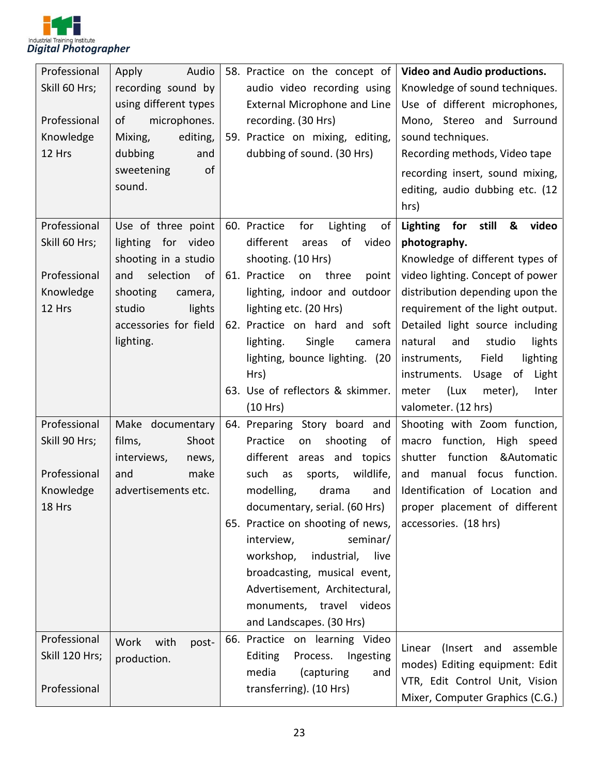

| Professional   | Audio<br>Apply         | 58. Practice on the concept of           | <b>Video and Audio productions.</b>                      |
|----------------|------------------------|------------------------------------------|----------------------------------------------------------|
| Skill 60 Hrs;  | recording sound by     | audio video recording using              | Knowledge of sound techniques.                           |
|                | using different types  | External Microphone and Line             | Use of different microphones,                            |
| Professional   | microphones.<br>of     | recording. (30 Hrs)                      | Mono, Stereo and Surround                                |
| Knowledge      | editing,<br>Mixing,    | 59. Practice on mixing, editing,         | sound techniques.                                        |
| 12 Hrs         | dubbing<br>and         | dubbing of sound. (30 Hrs)               | Recording methods, Video tape                            |
|                | of<br>sweetening       |                                          | recording insert, sound mixing,                          |
|                | sound.                 |                                          | editing, audio dubbing etc. (12                          |
|                |                        |                                          | hrs)                                                     |
| Professional   | Use of three point     | 60. Practice<br>Lighting<br>for<br>of    | still<br>Lighting for<br>&<br>video                      |
| Skill 60 Hrs;  | lighting for video     | different<br>of<br>video<br>areas        | photography.                                             |
|                | shooting in a studio   | shooting. (10 Hrs)                       | Knowledge of different types of                          |
| Professional   | selection<br>of<br>and | 61. Practice<br>three<br>on<br>point     | video lighting. Concept of power                         |
| Knowledge      | shooting<br>camera,    | lighting, indoor and outdoor             | distribution depending upon the                          |
| 12 Hrs         | studio<br>lights       | lighting etc. (20 Hrs)                   | requirement of the light output.                         |
|                | accessories for field  | 62. Practice on hard and soft            | Detailed light source including                          |
|                | lighting.              | Single<br>lighting.<br>camera            | natural<br>and<br>studio<br>lights                       |
|                |                        | lighting, bounce lighting. (20           | Field<br>lighting<br>instruments,                        |
|                |                        | Hrs)<br>63. Use of reflectors & skimmer. | instruments.<br>Usage<br>of<br>Light                     |
|                |                        | (10 Hrs)                                 | (Lux<br>meter),<br>Inter<br>meter<br>valometer. (12 hrs) |
| Professional   | Make documentary       | 64. Preparing Story board and            | Shooting with Zoom function,                             |
| Skill 90 Hrs;  | films,<br>Shoot        | Practice<br>shooting<br>of<br>on         | macro function, High speed                               |
|                | interviews,<br>news,   | different<br>areas and topics            | shutter function<br>&Automatic                           |
| Professional   | make<br>and            | such<br>wildlife,<br>sports,<br>as       | focus function.<br>and<br>manual                         |
| Knowledge      | advertisements etc.    | modelling,<br>drama<br>and               | Identification of Location and                           |
| 18 Hrs         |                        | documentary, serial. (60 Hrs)            | proper placement of different                            |
|                |                        | 65. Practice on shooting of news,        | accessories. (18 hrs)                                    |
|                |                        | interview,<br>seminar/                   |                                                          |
|                |                        | industrial,<br>workshop,<br>live         |                                                          |
|                |                        | broadcasting, musical event,             |                                                          |
|                |                        | Advertisement, Architectural,            |                                                          |
|                |                        | monuments, travel videos                 |                                                          |
|                |                        | and Landscapes. (30 Hrs)                 |                                                          |
| Professional   | Work<br>with<br>post-  | 66. Practice on learning Video           | Linear (Insert and assemble                              |
| Skill 120 Hrs; | production.            | Editing<br>Process.<br>Ingesting         | modes) Editing equipment: Edit                           |
|                |                        | media<br>(capturing<br>and               | VTR, Edit Control Unit, Vision                           |
| Professional   |                        | transferring). (10 Hrs)                  | Mixer, Computer Graphics (C.G.)                          |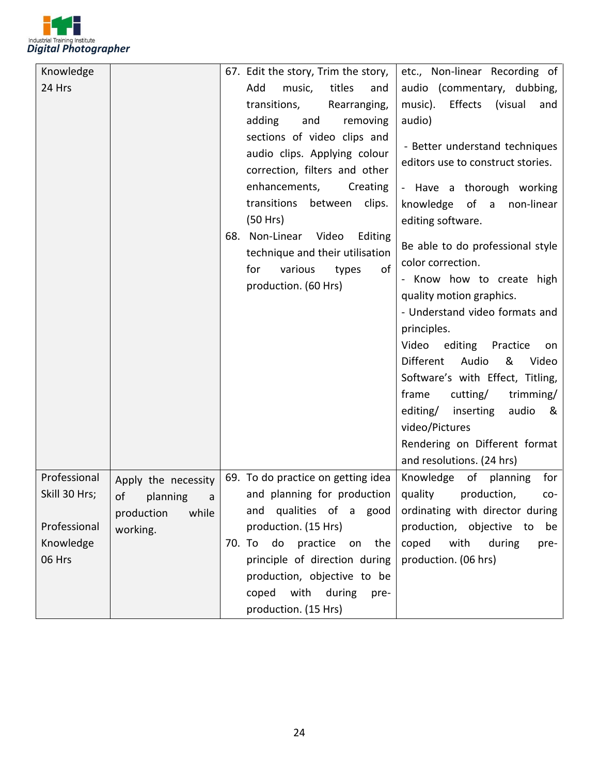

| Knowledge     |                     | 67. Edit the story, Trim the story,                                                                                         | etc., Non-linear Recording of                                                                                                                                                                                                                                                                                                                                                                           |
|---------------|---------------------|-----------------------------------------------------------------------------------------------------------------------------|---------------------------------------------------------------------------------------------------------------------------------------------------------------------------------------------------------------------------------------------------------------------------------------------------------------------------------------------------------------------------------------------------------|
| 24 Hrs        |                     | Add<br>titles<br>music,<br>and<br>transitions,<br>Rearranging,                                                              | audio (commentary, dubbing,<br>music).<br>Effects (visual<br>and                                                                                                                                                                                                                                                                                                                                        |
|               |                     | adding<br>and<br>removing                                                                                                   | audio)                                                                                                                                                                                                                                                                                                                                                                                                  |
|               |                     | sections of video clips and<br>audio clips. Applying colour<br>correction, filters and other                                | - Better understand techniques<br>editors use to construct stories.                                                                                                                                                                                                                                                                                                                                     |
|               |                     | enhancements,<br>Creating                                                                                                   | - Have a thorough working                                                                                                                                                                                                                                                                                                                                                                               |
|               |                     | transitions<br>between<br>clips.<br>(50 Hrs)                                                                                | knowledge of a<br>non-linear<br>editing software.                                                                                                                                                                                                                                                                                                                                                       |
|               |                     | 68. Non-Linear Video<br>Editing<br>technique and their utilisation<br>various<br>for<br>of<br>types<br>production. (60 Hrs) | Be able to do professional style<br>color correction.<br>- Know how to create high<br>quality motion graphics.<br>- Understand video formats and<br>principles.<br>Video<br>editing<br>Practice<br>on<br>Different<br>Audio<br>&<br>Video<br>Software's with Effect, Titling,<br>frame<br>trimming/<br>cutting/<br>editing/ inserting<br>audio<br>୍ଷ<br>video/Pictures<br>Rendering on Different format |
|               |                     |                                                                                                                             | and resolutions. (24 hrs)                                                                                                                                                                                                                                                                                                                                                                               |
| Professional  | Apply the necessity | 69. To do practice on getting idea                                                                                          | Knowledge of planning<br>for                                                                                                                                                                                                                                                                                                                                                                            |
| Skill 30 Hrs; | of<br>planning<br>a | and planning for production                                                                                                 | quality<br>production,<br>CO-                                                                                                                                                                                                                                                                                                                                                                           |
|               | production<br>while | and qualities of a good                                                                                                     | ordinating with director during                                                                                                                                                                                                                                                                                                                                                                         |
| Professional  | working.            | production. (15 Hrs)                                                                                                        | production, objective to be                                                                                                                                                                                                                                                                                                                                                                             |
| Knowledge     |                     | 70. To do practice on the                                                                                                   | coped<br>with during<br>pre-                                                                                                                                                                                                                                                                                                                                                                            |
| 06 Hrs        |                     | principle of direction during                                                                                               | production. (06 hrs)                                                                                                                                                                                                                                                                                                                                                                                    |
|               |                     | production, objective to be                                                                                                 |                                                                                                                                                                                                                                                                                                                                                                                                         |
|               |                     | coped with during pre-                                                                                                      |                                                                                                                                                                                                                                                                                                                                                                                                         |
|               |                     | production. (15 Hrs)                                                                                                        |                                                                                                                                                                                                                                                                                                                                                                                                         |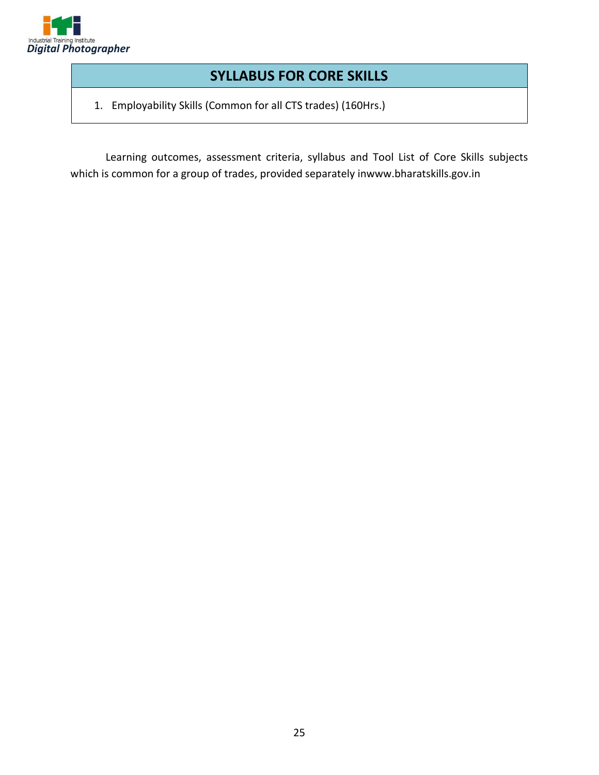

## **SYLLABUS FOR CORE SKILLS**

1. Employability Skills (Common for all CTS trades) (160Hrs.)

Learning outcomes, assessment criteria, syllabus and Tool List of Core Skills subjects which is common for a group of trades, provided separately inwww.bharatskills.gov.in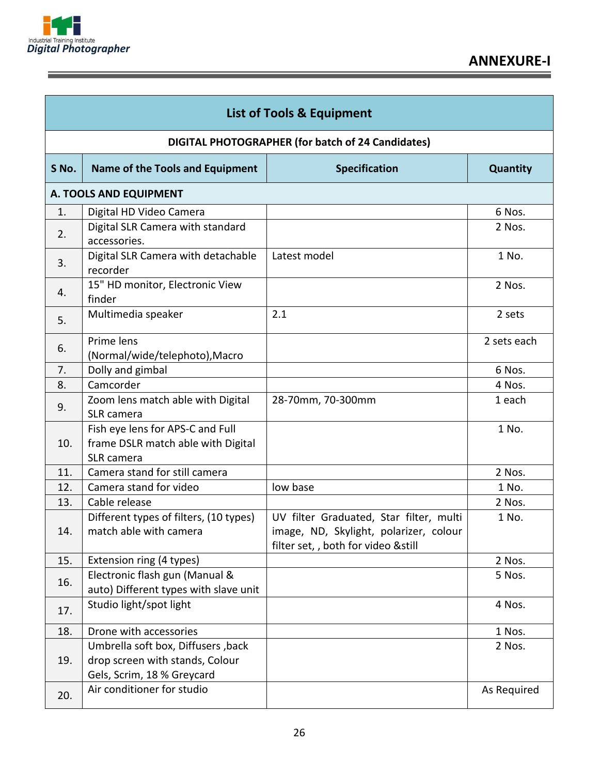

Ē

| <b>List of Tools &amp; Equipment</b> |                                                                                                     |                                                                                                                          |             |  |  |  |  |
|--------------------------------------|-----------------------------------------------------------------------------------------------------|--------------------------------------------------------------------------------------------------------------------------|-------------|--|--|--|--|
|                                      | DIGITAL PHOTOGRAPHER (for batch of 24 Candidates)                                                   |                                                                                                                          |             |  |  |  |  |
| S No.                                | Name of the Tools and Equipment                                                                     | <b>Specification</b>                                                                                                     | Quantity    |  |  |  |  |
|                                      | A. TOOLS AND EQUIPMENT                                                                              |                                                                                                                          |             |  |  |  |  |
| 1.                                   | Digital HD Video Camera                                                                             |                                                                                                                          | 6 Nos.      |  |  |  |  |
| 2.                                   | Digital SLR Camera with standard<br>accessories.                                                    |                                                                                                                          | 2 Nos.      |  |  |  |  |
| 3.                                   | Digital SLR Camera with detachable<br>recorder                                                      | Latest model                                                                                                             | 1 No.       |  |  |  |  |
| 4.                                   | 15" HD monitor, Electronic View<br>finder                                                           |                                                                                                                          | 2 Nos.      |  |  |  |  |
| 5.                                   | Multimedia speaker                                                                                  | 2.1                                                                                                                      | 2 sets      |  |  |  |  |
| 6.                                   | Prime lens<br>(Normal/wide/telephoto), Macro                                                        |                                                                                                                          | 2 sets each |  |  |  |  |
| 7.                                   | Dolly and gimbal                                                                                    |                                                                                                                          | 6 Nos.      |  |  |  |  |
| 8.                                   | Camcorder                                                                                           |                                                                                                                          | 4 Nos.      |  |  |  |  |
| 9.                                   | Zoom lens match able with Digital<br>SLR camera                                                     | 28-70mm, 70-300mm                                                                                                        | 1 each      |  |  |  |  |
| 10.                                  | Fish eye lens for APS-C and Full<br>frame DSLR match able with Digital<br>SLR camera                |                                                                                                                          | 1 No.       |  |  |  |  |
| 11.                                  | Camera stand for still camera                                                                       |                                                                                                                          | 2 Nos.      |  |  |  |  |
| 12.                                  | Camera stand for video                                                                              | low base                                                                                                                 | 1 No.       |  |  |  |  |
| 13.                                  | Cable release                                                                                       |                                                                                                                          | 2 Nos.      |  |  |  |  |
| 14.                                  | Different types of filters, (10 types)<br>match able with camera                                    | UV filter Graduated, Star filter, multi<br>image, ND, Skylight, polarizer, colour<br>filter set, , both for video &still | 1 No.       |  |  |  |  |
| 15.                                  | Extension ring (4 types)                                                                            |                                                                                                                          | 2 Nos.      |  |  |  |  |
| 16.                                  | Electronic flash gun (Manual &<br>auto) Different types with slave unit                             |                                                                                                                          | 5 Nos.      |  |  |  |  |
| 17.                                  | Studio light/spot light                                                                             |                                                                                                                          | 4 Nos.      |  |  |  |  |
| 18.                                  | Drone with accessories                                                                              |                                                                                                                          | 1 Nos.      |  |  |  |  |
| 19.                                  | Umbrella soft box, Diffusers, back<br>drop screen with stands, Colour<br>Gels, Scrim, 18 % Greycard |                                                                                                                          | 2 Nos.      |  |  |  |  |
| 20.                                  | Air conditioner for studio                                                                          |                                                                                                                          | As Required |  |  |  |  |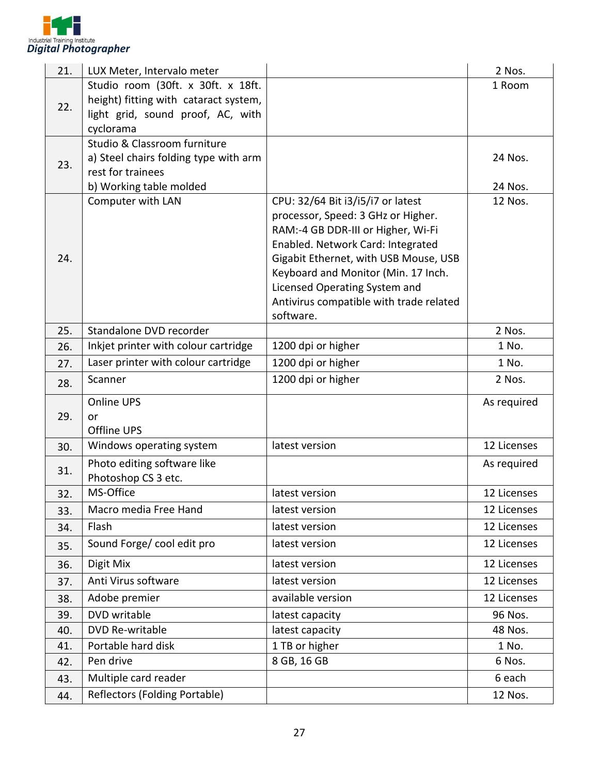

| 21. | LUX Meter, Intervalo meter                                 |                                         | 2 Nos.      |
|-----|------------------------------------------------------------|-----------------------------------------|-------------|
|     | Studio room (30ft. x 30ft. x 18ft.                         |                                         | 1 Room      |
| 22. | height) fitting with cataract system,                      |                                         |             |
|     | light grid, sound proof, AC, with                          |                                         |             |
|     | cyclorama                                                  |                                         |             |
|     | Studio & Classroom furniture                               |                                         | 24 Nos.     |
| 23. | a) Steel chairs folding type with arm<br>rest for trainees |                                         |             |
|     | b) Working table molded                                    |                                         | 24 Nos.     |
|     | Computer with LAN                                          | CPU: 32/64 Bit i3/i5/i7 or latest       | 12 Nos.     |
|     |                                                            | processor, Speed: 3 GHz or Higher.      |             |
|     |                                                            | RAM:-4 GB DDR-III or Higher, Wi-Fi      |             |
|     |                                                            | Enabled. Network Card: Integrated       |             |
| 24. |                                                            | Gigabit Ethernet, with USB Mouse, USB   |             |
|     |                                                            | Keyboard and Monitor (Min. 17 Inch.     |             |
|     |                                                            | Licensed Operating System and           |             |
|     |                                                            | Antivirus compatible with trade related |             |
| 25. | Standalone DVD recorder                                    | software.                               | 2 Nos.      |
| 26. | Inkjet printer with colour cartridge                       | 1200 dpi or higher                      | 1 No.       |
| 27. | Laser printer with colour cartridge                        | 1200 dpi or higher                      | 1 No.       |
|     | Scanner                                                    | 1200 dpi or higher                      | 2 Nos.      |
| 28. |                                                            |                                         |             |
|     | Online UPS                                                 |                                         | As required |
| 29. | or<br><b>Offline UPS</b>                                   |                                         |             |
| 30. | Windows operating system                                   | latest version                          | 12 Licenses |
|     |                                                            |                                         |             |
| 31. | Photo editing software like<br>Photoshop CS 3 etc.         |                                         | As required |
| 32. | MS-Office                                                  | latest version                          | 12 Licenses |
| 33. | Macro media Free Hand                                      | latest version                          | 12 Licenses |
| 34. | Flash                                                      | latest version                          | 12 Licenses |
| 35. | Sound Forge/ cool edit pro                                 | latest version                          | 12 Licenses |
| 36. | Digit Mix                                                  | latest version                          | 12 Licenses |
| 37. | Anti Virus software                                        | latest version                          | 12 Licenses |
| 38. | Adobe premier                                              | available version                       | 12 Licenses |
| 39. | DVD writable                                               | latest capacity                         | 96 Nos.     |
| 40. | DVD Re-writable                                            | latest capacity                         | 48 Nos.     |
| 41. | Portable hard disk                                         | 1 TB or higher                          | 1 No.       |
| 42. | Pen drive                                                  | 8 GB, 16 GB                             | 6 Nos.      |
| 43. | Multiple card reader                                       |                                         | 6 each      |
| 44. | Reflectors (Folding Portable)                              |                                         | 12 Nos.     |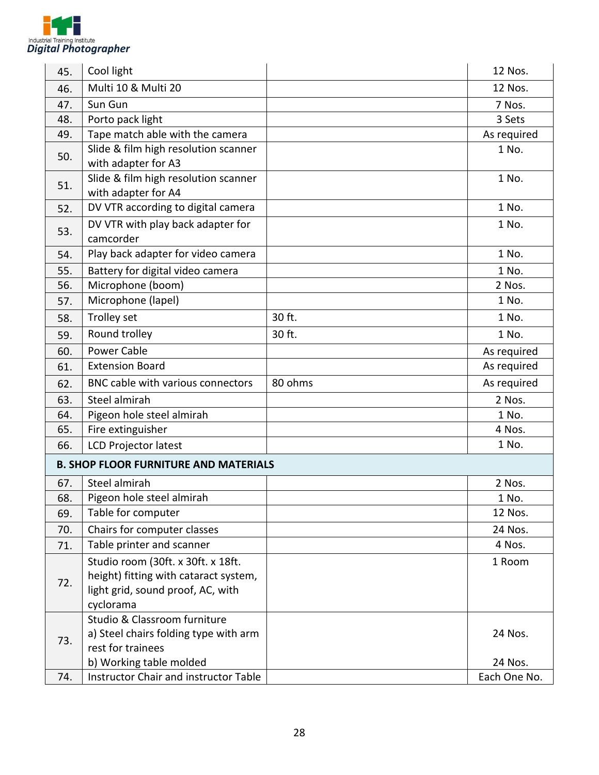

| 45. | Cool light                                   |         | 12 Nos.      |
|-----|----------------------------------------------|---------|--------------|
| 46. | Multi 10 & Multi 20                          |         | 12 Nos.      |
| 47. | Sun Gun                                      |         | 7 Nos.       |
| 48. | Porto pack light                             |         | 3 Sets       |
| 49. | Tape match able with the camera              |         | As required  |
| 50. | Slide & film high resolution scanner         |         | 1 No.        |
|     | with adapter for A3                          |         |              |
| 51. | Slide & film high resolution scanner         |         | 1 No.        |
|     | with adapter for A4                          |         |              |
| 52. | DV VTR according to digital camera           |         | 1 No.        |
| 53. | DV VTR with play back adapter for            |         | 1 No.        |
|     | camcorder                                    |         |              |
| 54. | Play back adapter for video camera           |         | 1 No.        |
| 55. | Battery for digital video camera             |         | 1 No.        |
| 56. | Microphone (boom)                            |         | 2 Nos.       |
| 57. | Microphone (lapel)                           |         | 1 No.        |
| 58. | Trolley set                                  | 30 ft.  | 1 No.        |
| 59. | Round trolley                                | 30 ft.  | 1 No.        |
| 60. | <b>Power Cable</b>                           |         | As required  |
| 61. | <b>Extension Board</b>                       |         | As required  |
| 62. | BNC cable with various connectors            | 80 ohms | As required  |
| 63. | Steel almirah                                |         | 2 Nos.       |
| 64. | Pigeon hole steel almirah                    |         | 1 No.        |
| 65. | Fire extinguisher                            |         | 4 Nos.       |
| 66. | <b>LCD Projector latest</b>                  |         | 1 No.        |
|     | <b>B. SHOP FLOOR FURNITURE AND MATERIALS</b> |         |              |
| 67. | Steel almirah                                |         | 2 Nos.       |
| 68. | Pigeon hole steel almirah                    |         | 1 No.        |
| 69. | Table for computer                           |         | 12 Nos.      |
| 70. | Chairs for computer classes                  |         | 24 Nos.      |
| 71. | Table printer and scanner                    |         | 4 Nos.       |
|     | Studio room (30ft. x 30ft. x 18ft.           |         | 1 Room       |
| 72. | height) fitting with cataract system,        |         |              |
|     | light grid, sound proof, AC, with            |         |              |
|     | cyclorama                                    |         |              |
|     | Studio & Classroom furniture                 |         |              |
| 73. | a) Steel chairs folding type with arm        |         | 24 Nos.      |
|     | rest for trainees                            |         |              |
|     | b) Working table molded                      |         | 24 Nos.      |
| 74. | <b>Instructor Chair and instructor Table</b> |         | Each One No. |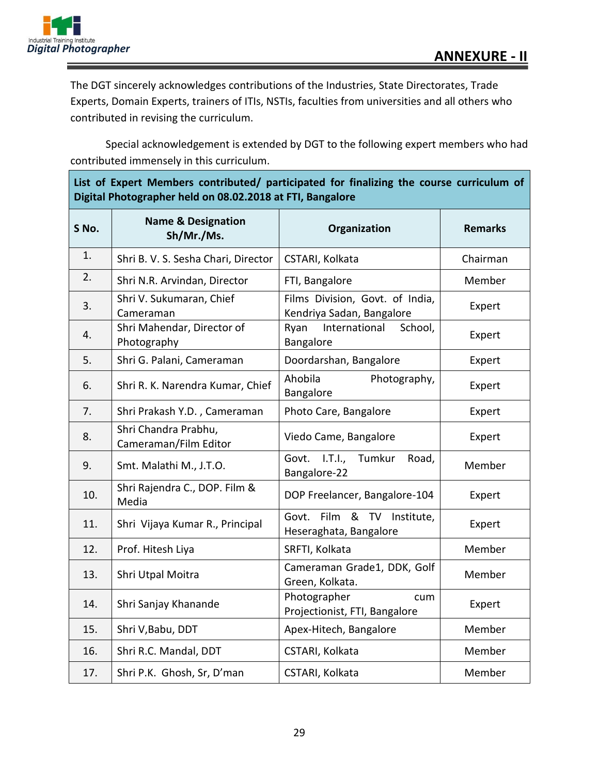



The DGT sincerely acknowledges contributions of the Industries, State Directorates, Trade Experts, Domain Experts, trainers of ITIs, NSTIs, faculties from universities and all others who contributed in revising the curriculum.

Special acknowledgement is extended by DGT to the following expert members who had contributed immensely in this curriculum.

| List of Expert Members contributed/ participated for finalizing the course curriculum of |  |  |
|------------------------------------------------------------------------------------------|--|--|
| Digital Photographer held on 08.02.2018 at FTI, Bangalore                                |  |  |

| S No. | <b>Name &amp; Designation</b><br>Sh/Mr./Ms.   | Organization                                                 | <b>Remarks</b> |
|-------|-----------------------------------------------|--------------------------------------------------------------|----------------|
| 1.    | Shri B. V. S. Sesha Chari, Director           | CSTARI, Kolkata                                              | Chairman       |
| 2.    | Shri N.R. Arvindan, Director                  | FTI, Bangalore                                               | Member         |
| 3.    | Shri V. Sukumaran, Chief<br>Cameraman         | Films Division, Govt. of India,<br>Kendriya Sadan, Bangalore | Expert         |
| 4.    | Shri Mahendar, Director of<br>Photography     | International<br>School,<br>Ryan<br>Bangalore                | Expert         |
| 5.    | Shri G. Palani, Cameraman                     | Doordarshan, Bangalore                                       | Expert         |
| 6.    | Shri R. K. Narendra Kumar, Chief              | Ahobila<br>Photography,<br>Bangalore                         | Expert         |
| 7.    | Shri Prakash Y.D., Cameraman                  | Photo Care, Bangalore                                        | Expert         |
| 8.    | Shri Chandra Prabhu,<br>Cameraman/Film Editor | Viedo Came, Bangalore                                        | Expert         |
| 9.    | Smt. Malathi M., J.T.O.                       | Govt. I.T.I., Tumkur<br>Road,<br>Bangalore-22                | Member         |
| 10.   | Shri Rajendra C., DOP. Film &<br>Media        | DOP Freelancer, Bangalore-104                                | Expert         |
| 11.   | Shri Vijaya Kumar R., Principal               | Govt. Film & TV Institute,<br>Heseraghata, Bangalore         | Expert         |
| 12.   | Prof. Hitesh Liya                             | SRFTI, Kolkata                                               | Member         |
| 13.   | Shri Utpal Moitra                             | Cameraman Grade1, DDK, Golf<br>Green, Kolkata.               | Member         |
| 14.   | Shri Sanjay Khanande                          | Photographer<br>cum<br>Projectionist, FTI, Bangalore         | Expert         |
| 15.   | Shri V, Babu, DDT                             | Apex-Hitech, Bangalore                                       | Member         |
| 16.   | Shri R.C. Mandal, DDT                         | CSTARI, Kolkata                                              | Member         |
| 17.   | Shri P.K. Ghosh, Sr, D'man                    | CSTARI, Kolkata                                              | Member         |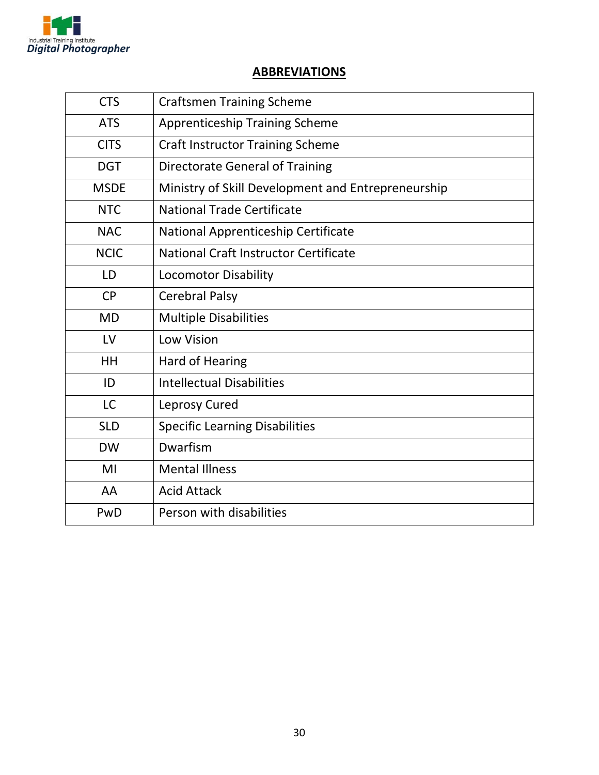

#### **ABBREVIATIONS**

| <b>CTS</b>  | <b>Craftsmen Training Scheme</b>                   |
|-------------|----------------------------------------------------|
| <b>ATS</b>  | <b>Apprenticeship Training Scheme</b>              |
| <b>CITS</b> | <b>Craft Instructor Training Scheme</b>            |
| <b>DGT</b>  | <b>Directorate General of Training</b>             |
| <b>MSDE</b> | Ministry of Skill Development and Entrepreneurship |
| <b>NTC</b>  | National Trade Certificate                         |
| <b>NAC</b>  | National Apprenticeship Certificate                |
| <b>NCIC</b> | National Craft Instructor Certificate              |
| LD          | <b>Locomotor Disability</b>                        |
| <b>CP</b>   | <b>Cerebral Palsy</b>                              |
| <b>MD</b>   | <b>Multiple Disabilities</b>                       |
| LV          | <b>Low Vision</b>                                  |
| HH          | Hard of Hearing                                    |
| ID          | <b>Intellectual Disabilities</b>                   |
| <b>LC</b>   | Leprosy Cured                                      |
| <b>SLD</b>  | <b>Specific Learning Disabilities</b>              |
| <b>DW</b>   | Dwarfism                                           |
| MI          | <b>Mental Illness</b>                              |
| AA          | <b>Acid Attack</b>                                 |
| PwD         | Person with disabilities                           |